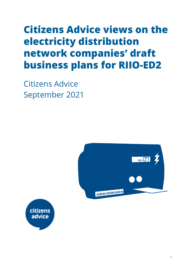# **Citizens Advice views on the electricity distribution network companies' draft business plans for RIIO-ED2**

Citizens Advice September 2021



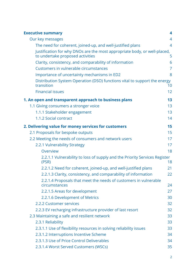| <b>Executive summary</b>                                                                                      | 4              |
|---------------------------------------------------------------------------------------------------------------|----------------|
| Our key messages                                                                                              | $\overline{4}$ |
| The need for coherent, joined-up, and well-justified plans                                                    | $\overline{4}$ |
| Justification for why DNOs are the most appropriate body, or well-placed,<br>to undertake proposed activities | 5              |
| Clarity, consistency, and comparability of information                                                        | 6              |
| Customers in vulnerable circumstances                                                                         | 7              |
| Importance of uncertainty mechanisms in ED2                                                                   | 8              |
| Distribution System Operation (DSO) functions vital to support the energy<br>transition                       | 10             |
| <b>Financial issues</b>                                                                                       | 12             |
| 1. An open and transparent approach to business plans                                                         | 13             |
| 1.1 Giving consumers a stronger voice                                                                         | 13             |
| 1.1.1 Stakeholder engagement                                                                                  | 13             |
| 1.1.2 Social contract                                                                                         | 14             |
| 2. Delivering value for money services for customers                                                          | 15             |
| 2.1 Proposals for bespoke outputs                                                                             | 15             |
| 2.2 Meeting the needs of consumers and network users                                                          | 17             |
| 2.2.1 Vulnerability Strategy                                                                                  | 17             |
| Overview                                                                                                      | 18             |
| 2.2.1.1 Vulnerability to loss of supply and the Priority Services Register<br>(PSR)                           | 18             |
| 2.2.1.2 Need for coherent, joined-up, and well-justified plans                                                | 21             |
| 2.2.1.3 Clarity, consistency, and comparability of information                                                | 22             |
| 2.2.1.4 Proposals that meet the needs of customers in vulnerable<br>circumstances                             | 24             |
| 2.2.1.5 Areas for development                                                                                 | 27             |
| 2.2.1.6 Development of Metrics                                                                                | 30             |
| 2.2.2 Customer services                                                                                       | 32             |
| 2.2.3 EV recharging infrastructure provider of last resort                                                    | 32             |
| 2.3 Maintaining a safe and resilient network                                                                  | 33             |
| 2.3.1 Reliability                                                                                             | 33             |
| 2.3.1.1 Use of flexibility resources in solving reliability issues                                            | 33             |
| 2.3.1.2 Interruptions Incentive Scheme                                                                        | 34             |
| 2.3.1.3 Use of Price Control Deliverables                                                                     | 34             |
| 2.3.1.4 Worst Served Customers (WSCs)                                                                         | 35             |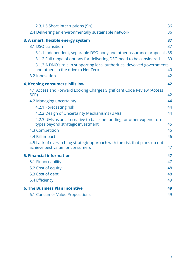| 2.3.1.5 Short interruptions (SIs)                                                                                | 36 |
|------------------------------------------------------------------------------------------------------------------|----|
| 2.4 Delivering an environmentally sustainable network                                                            | 36 |
| 3. A smart, flexible energy system                                                                               | 37 |
| 3.1 DSO transition                                                                                               | 37 |
| 3.1.1 Independent, separable DSO body and other assurance proposals 38                                           |    |
| 3.1.2 Full range of options for delivering DSO need to be considered                                             | 39 |
| 3.1.3 A DNO's role in supporting local authorities, devolved governments,<br>and others in the drive to Net Zero | 40 |
| 3.2 Innovation                                                                                                   | 42 |
| 4. Keeping consumers' bills low                                                                                  | 42 |
| 4.1 Access and Forward Looking Charges Significant Code Review (Access<br>SCR)                                   | 42 |
| 4.2 Managing uncertainty                                                                                         | 44 |
| 4.2.1 Forecasting risk                                                                                           | 44 |
| 4.2.2 Design of Uncertainty Mechanisms (UMs)                                                                     | 44 |
| 4.2.3 UMs as an alternative to baseline funding for other expenditure<br>types beyond strategic investment       | 45 |
| 4.3 Competition                                                                                                  | 45 |
| 4.4 Bill impact                                                                                                  | 46 |
| 4.5 Lack of overarching strategic approach with the risk that plans do not<br>achieve best value for consumers   | 47 |
| <b>5. Financial information</b>                                                                                  | 47 |
| 5.1 Financeability                                                                                               | 47 |
| 5.2 Cost of equity                                                                                               | 48 |
| 5.3 Cost of debt                                                                                                 | 48 |
| 5.4 Efficiency                                                                                                   | 49 |
| <b>6. The Business Plan Incentive</b>                                                                            | 49 |
| <b>6.1 Consumer Value Propositions</b>                                                                           | 49 |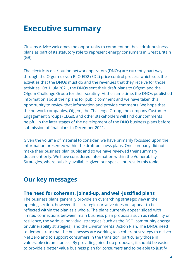# <span id="page-3-0"></span>**Executive summary**

Citizens Advice welcomes the opportunity to comment on these draft business plans as part of its statutory role to represent energy consumers in Great Britain (GB).

The electricity distribution network operators (DNOs) are currently part way through the Ofgem-driven RIIO-ED2 (ED2) price control process which sets the activities that the DNOs must do and the revenues that they receive for those activities. On 1 July 2021, the DNOs sent their draft plans to Ofgem and the Ofgem Challenge Group for their scrutiny. At the same time, the DNOs published information about their plans for public comment and we have taken this opportunity to review that information and provide comments. We hope that the network companies, Ofgem, the Challenge Group, the company Customer Engagement Groups (CEGs), and other stakeholders will find our comments helpful in the later stages of the development of the DNO business plans before submission of final plans in December 2021.

Given the volume of material to consider, we have primarily focussed upon the information presented within the draft business plans. One company did not make their business plan public and so we have reviewed their summary document only. We have considered information within the Vulnerability Strategies, where publicly available, given our special interest in this topic.

## <span id="page-3-1"></span>**Our key messages**

## <span id="page-3-2"></span>**The need for coherent, joined-up, and well-justified plans**

The business plans generally provide an overarching strategic view in the opening section, however, this strategic narrative does not appear to be reflected within the plan as a whole. The plans currently appear siloed with limited connections between main business plan proposals such as reliability or resilience, the various individual strategies (such as the DSO, community energy or vulnerability strategies), and the Environmental Action Plan. The DNOs need to demonstrate that the businesses are working to a coherent strategy to deliver Net Zero and to support consumers in the transition, particularly those in vulnerable circumstances. By providing joined-up proposals, it should be easier to provide a better value business plan for consumers and to be able to justify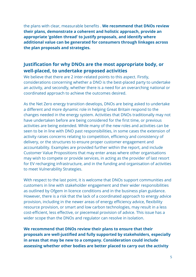the plans with clear, measurable benefits . **We recommend that DNOs review their plans, demonstrate a coherent and holistic approach, provide an appropriate 'golden thread' to justify proposals, and identify where additional value can be generated for consumers through linkages across the plan proposals and strategies.**

## <span id="page-4-0"></span>**Justification for why DNOs are the most appropriate body, or well-placed, to undertake proposed activities**

We believe that there are 2 inter-related points to this aspect. Firstly, considerations concerning whether a DNO is the best-placed party to undertake an activity, and secondly, whether there is a need for an overarching national or coordinated approach to achieve the outcomes desired.

As the Net Zero energy transition develops, DNOs are being asked to undertake a different and more dynamic role in helping Great Britain respond to the changes needed in the energy system. Activities that DNOs traditionally may not have undertaken before are being considered for the first time, or previous activities are being extended. While many of the new roles and activities can be seen to be in line with DNO past responsibilities, in some cases the extension of activity raises concerns relating to competition, efficiency and consistency of delivery, or the structures to ensure proper customer engagement and accountability. Examples are provided further within the report, and include Customer Value Propositions that may enter areas where other organisations may wish to compete or provide services, in acting as the provider of last resort for EV recharging infrastructure, and in the funding and organisation of activities to meet Vulnerability Strategies.

With respect to the last point, it is welcome that DNOs support communities and customers in line with stakeholder engagement and their wider responsibilities as outlined by Ofgem in licence conditions and in the business plan guidance. However, there is a risk that the lack of a coordinated approach to energy advice provision, including in the newer areas of energy efficiency advice, flexibility resource provision, or smart and low carbon technologies, may result in a less cost-efficient, less effective, or piecemeal provision of advice. This issue has a wider scope than the DNOs and regulator can resolve in isolation.

**We recommend that DNOs review their plans to ensure that their proposals are well-justified and fully supported by stakeholders, especially in areas that may be new to a company. Consideration could include assessing whether other bodies are better placed to carry out the activity**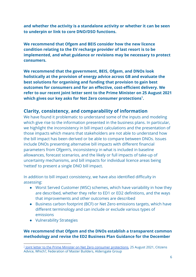**and whether the activity is a standalone activity or whether it can be seen to underpin or link to core DNO/DSO functions.**

**We recommend that Ofgem and BEIS consider how the new licence condition relating to the EV recharge provider of last resort is to be implemented, and what guidance or revisions may be necessary to protect consumers.**

**We recommend that the government, BEIS, Ofgem, and DNOs look holistically at the provision of energy advice across GB and evaluate the best solutions for organising and funding that provision to gain best outcomes for consumers and for an effective, cost-efficient delivery. We refer to our recent joint letter sent to the Prime Minister on 25 August 2021 which gives our key asks for Net Zero consumer protections . 1**

## <span id="page-5-0"></span>**Clarity, consistency, and comparability of information**

We have found it problematic to understand some of the inputs and modeling which give rise to the information presented in the business plans. In particular, we highlight the inconsistency in bill impact calculations and the presentation of those impacts which means that stakeholders are not able to understand how the bill impact has been derived or be able to compare between DNOs. Issues include DNOs presenting alternative bill impacts with different financial parameters from Ofgem's, inconsistency in what is included in baseline allowances, forecast scenarios, and the likely or full impacts of take-up of uncertainty mechanisms, and bill impacts for individual licence areas being 'netted' to present a single DNO bill impact.

In addition to bill impact consistency, we have also identified difficulty in assessing:

- Worst Served Customer (WSC) schemes, which have variability in how they are described, whether they refer to ED1 or ED2 definitions, and the ways that improvements and other outcomes are described
- Business carbon footprint (BCF) or Net Zero emissions targets, which have different terminology and can include or exclude various types of emissions
- Vulnerability Strategies

#### **We recommend that Ofgem and the DNOs establish a transparent common methodology and revise the ED2 Business Plan Guidance for the December**

<sup>&</sup>lt;sup>1</sup> <u>Joint letter to the Prime Minister on Net Zero consumer protections</u>, 25 August 2021, Citizens Advice, Which?, Federation of Master Builders, Aldersgate Group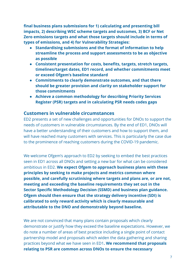**final business plans submissions for 1) calculating and presenting bill impacts, 2) describing WSC scheme targets and outcomes, 3) BCF or Net Zero emissions targets and what those targets should include in terms of types of emissions, and 4) for Vulnerability Strategies:**

- **● Standardising submissions and the format of information to help streamline the process and support assessments to be as objective as possible**
- **● Consistent presentation for costs, benefits, targets, stretch targets, timelines/target dates, ED1 record, and whether commitments meet or exceed Ofgem's baseline standard**
- **● Commitments to clearly demonstrate outcomes, and that there should be greater provision and clarity on stakeholder support for those commitments**
- **● Achieve a common methodology for describing Priority Services Register (PSR) targets and in calculating PSR needs codes gaps**

### <span id="page-6-0"></span>**Customers in vulnerable circumstances**

ED2 presents a set of new challenges and opportunities for DNOs to support the needs of customers in vulnerable circumstances. By the end of ED1, DNOs will have a better understanding of their customers and how to support them, and will have reached many customers with services. This is particularly the case due to the prominence of reaching customers during the COVID-19 pandemic.

We welcome Ofgem's approach to ED2 by seeking to embed the best practices seen in ED1 across all DNOs and setting a new bar for what can be considered ambitious in ED2. **We expect Ofgem to approach business plans with these principles by seeking to make projects and metrics common where possible, and carefully scrutinising where targets and plans are, or are not, meeting and exceeding the baseline requirements they set out in the Sector Specific Methodology Decision (SSMD) and business plan guidance. Ofgem should then ensure that the strategy delivery incentive (SDI) is calibrated to only reward activity which is clearly measurable and attributable to the DNO and demonstrably beyond baseline.**

We are not convinced that many plans contain proposals which clearly demonstrate or justify how they exceed the baseline expectations. However, we do note a number of areas of best practice including a single point of contact partnership model and proposals which widen the data gathering and sharing practices beyond what we have seen in ED1**. We recommend that proposals relating to PSR are common across DNOs to ensure the necessary**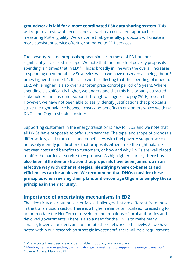### **groundwork is laid for a more coordinated PSR data sharing system.** This will require a review of needs codes as well as a consistent approach to measuring PSR eligibility. We welcome that, generally, proposals will create a more consistent service offering compared to ED1 services.

Fuel poverty-related proposals appear similar to those of ED1 but are significantly increased in scope. We note that for some fuel poverty proposals spending is 4 times that in  $ED1<sup>2</sup>$ . This is broadly in line with the overall increases in spending on Vulnerability Strategies which we have observed as being about 3 times higher than in ED1. It is also worth reflecting that the spending planned for ED2, while higher, is also over a shorter price control period of 5 years. Where spending is significantly higher, we understand that this has broadly attracted stakeholder and customer support through willingness to pay (WTP) research. However, we have not been able to easily identify justifications that proposals strike the right balance between costs and benefits to customers which we think DNOs and Ofgem should consider.

Supporting customers in the energy transition is new for ED2 and we note that all DNOs have proposals to offer such services. The type, and scope of proposals differ widely, as do the costs and benefits. As with fuel poverty support we did not easily identify justifications that proposals either strike the right balance between costs and benefits to customers, or how and why DNOs are well placed to offer the particular service they propose. As highlighted earlier, **there has also been little demonstration that proposals have been joined-up in an effective way with other strategies, identifying where co-benefits and efficiencies can be achieved. We recommend that DNOs consider these principles when revising their plans and encourage Ofgem to employ these principles in their scrutiny.**

## <span id="page-7-0"></span>**Importance of uncertainty mechanisms in ED2**

The electricity distribution sector faces challenges that are different from those in the transmission sector. There is a higher reliance on localised forecasting to accommodate the Net Zero or development ambitions of local authorities and devolved governments. There is also a need for the DNOs to make many smaller, lower value decisions to operate their networks effectively. As we have noted within our research on strategic investment<sup>3</sup>, there will be a requirement

<sup>&</sup>lt;sup>2</sup> Where costs have been clearly identifiable in publicly available plans.

<sup>&</sup>lt;sup>3</sup> '<u>Meeting net zero — getting the right strategic [investment](https://wearecitizensadvice.org.uk/meeting-net-zero-getting-the-right-strategic-investment-to-support-the-energy-transition-3c3e26137cca) to support the energy transition'</u>, Citizens Advice, March 2021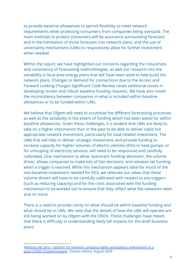to provide baseline allowances to permit flexibility to meet network requirements while protecting consumers from companies being overpaid. The main methods to protect consumers will be assurance surrounding forecasts and in the translation of those forecasts into network plans, and the use of uncertainty mechanisms (UMs) to responsively allow for further investment when needed.

Within the report, we have highlighted our concerns regarding the robustness and consistency of forecasting methodologies, as well our research into the variability in local area energy plans that will have been used to help build the network plans. Changes in demand for connections due to the Access and Forward Looking Charges Significant Code Review raises additional issues in developing certain and robust baseline funding requests. We have also noted the inconsistency between companies in what is included within baseline allowances or to be funded within UMs.

We believe that Ofgem will need to scrutinise the different forecasting processes as well as the variability in the extent of funding which has been asked for within baseline allowances. Given these challenges, it is evident that UMs are likely to take on a higher importance than in the past to be able to deliver rapid but appropriate network investment, particularly for load-related investment. The UMs that will help to deliver strategic investment, and provide funding to increase capacity for higher volumes of electric vehicles (EVs) or heat pumps, or for unlooping of electricity services, will need to be responsive and carefully calibrated. One mechanism to allow 'automatic funding decisions', the volume driver, allows companies to make lots of fast decisions, and releases set funding when a trigger is reached. While this mechanism appears ideal for much of the non-baseline investment needed for ED2, we reiterate our views that these volume drivers will have to be carefully calibrated with respect to any triggers (such as reducing capacity) and for the costs associated with the funding mechanism to be worked out to ensure that they reflect what the networks need and no more.

There is a need to provide clarity on what should be within baseline funding and what should be in UMs. We note that the details of how the UMs will operate are still being worked on by Ofgem with the DNOs. These challenges have meant that there is difficulty in understanding likely bill impacts for the draft business plans.

<sup>&#</sup>x27;Meeting net zero - Options for network company highly anticipatory [investments](https://www.citizensadvice.org.uk/about-us/our-work/policy/policy-research-topics/energy-policy-research-and-consultation-responses/energy-policy-research/meeting-net-zero-options-for-network-company-highly-anticipatory-investments-in-a-post-covid-19-environment/) in a [post-COVID-19](https://www.citizensadvice.org.uk/about-us/our-work/policy/policy-research-topics/energy-policy-research-and-consultation-responses/energy-policy-research/meeting-net-zero-options-for-network-company-highly-anticipatory-investments-in-a-post-covid-19-environment/) environment', Citizens Advice, August 2020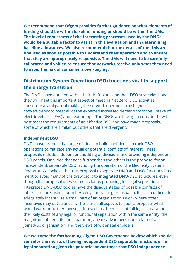**We recommend that Ofgem provides further guidance on what elements of funding should be within baseline funding or should be within the UMs. The level of robustness of the forecasting processes used by the DNOs would be a suitable factor to assist in this evaluation and in determining baseline allowances. We also recommend that the details of the UMs are finalised as soon as possible to understand their operation and to ensure that they are appropriately responsive. The UMs will need to be carefully calibrated and valued to ensure that networks receive only what they need to avoid the risk of consumers over-paying.**

## <span id="page-9-0"></span>**Distribution System Operation (DSO) functions vital to support the energy transition**

The DNOs have outlined within their draft plans and their DSO strategies how they will meet this important aspect of meeting Net Zero. DSO activities constitute a vital part of making the network operate at the highest cost-efficiency to meet all of the expected increased demand from the uptake of electric vehicles (EVs) and heat pumps. The DNOs are having to consider how to best meet the requirements of an effective DSO and have made proposals, some of which are similar, but others that are divergent.

#### **Independent DSO**

DNOs have proposed a range of ideas to build confidence in their DSO operations to mitigate any actual or potential conflicts of interest. These proposals include independent auditing of decisions and providing independent DSO panels. One idea that goes further than the others is the proposal for an independent, separable DSO, echoing the operation of the Electricity System Operator. We believe that this proposal to separate DNO and DSO functions has merit to avoid many of the drawbacks to integrated DNO/DSO structures, even though this proposal does not go as far as proposing full legal separation. Integrated DNO/DSO bodies have the disadvantages of possible conflicts of interest in forecasting, or in flexibility contracting or dispatch. It is also difficult to adequately incentivise a small part of an organisation's work where other incentives may outbalance it. There are still aspects to such a proposal which would warrant further investigation such as the merits of full legal separation, the likely costs of any legal or functional separation within the same entity, the magnitude of benefits for separation, any disadvantages due to lack of a joined-up organisation, and the views of wider stakeholders.

#### **We welcome the forthcoming Ofgem DSO Governance Review which should consider the merits of having independent DSO separable functions or full legal separation given the potential advantages that DSO independence**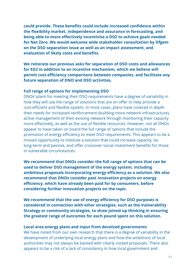**could provide. These benefits could include increased confidence within the flexibility market, independence and assurance in forecasting, and being able to more effectively incentivise a DSO to achieve goals needed for Net Zero. We would welcome wide stakeholder consultation by Ofgem on the DSO separation issue as well as an impact assessment, and evaluation of likely costs and benefits.**

**We reiterate our previous asks for separation of DSO costs and allowances for ED2 in addition to an incentive mechanism, which we believe will permit cost-efficiency comparisons between companies, and facilitate any future separation of DNO and DSO activities.**

#### **Full range of options for implementing DSO**

DNOs' plans for meeting their DSO requirements have a degree of variability in how they will use the range of solutions that are on offer to help provide a cost-efficient and flexible system. In most cases, plans have covered in depth their needs for increased reinforcement (building more network infrastructure), active management of their existing network through monitoring their capacity more effectively, as well as the use of flexible resources. However, not all DNOs appear to have taken on board the full range of options that include the promotion of energy efficiency to meet DSO requirements. This appears to be a missed opportunity to institute a solution that could increase capacity, be long-term and passive, and offer crossover social investment benefits for those in vulnerable circumstances.

**We recommend that DNOs consider the full range of options that can be used to deliver DSO management of the energy system, including ambitious proposals incorporating energy efficiency as a solution. We also recommend that DNOs consider past innovation projects on energy efficiency, which have already been paid for by consumers, before considering further innovation projects on the topic.**

**We recommend that the use of energy efficiency for DSO purposes is considered in connection with other strategies, such as the Vulnerability Strategy or community strategies, to show joined-up thinking in ensuring the greatest range of outcomes for each pound spent on this solution.**

#### **Local area energy plans and input from devolved governments**

We have noted from our own research that there is a degree of variability in the development of underlying local energy plans and how the ambitions of local authorities may not always be backed with clearly costed proposals. There also appears to be a risk of a lack of consistency in how local government and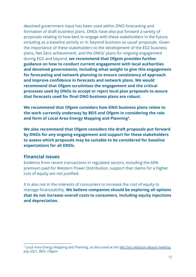devolved government input has been used within DNO forecasting and formation of draft business plans. DNOs have also put forward a variety of proposals relating to how best to engage with these stakeholders in the future, including as a baseline activity or in 'beyond business as usual' proposals. Given the importance of these stakeholders to the development of the ED2 business plans, Net Zero achievement, and the DNOs' plans for ongoing engagement during ED2 and beyond, **we recommend that Ofgem provides further guidance on how to conduct current engagement with local authorities and devolved governments, including what weight to give this engagement for forecasting and network planning to ensure consistency of approach and improve confidence in forecasts and network plans. We would recommend that Ofgem scrutinises the engagement and the critical processes used by DNOs to accept or reject local plan proposals to assure that forecasts used for final DNO business plans are robust.**

**We recommend that Ofgem considers how DNO business plans relate to the work currently underway by BEIS and Ofgem in considering the role** and form of Local Area Energy Mapping and Planning<sup>4</sup>.

**We also recommend that Ofgem considers the draft proposals put forward by DNOs for any ongoing engagement and support for these stakeholders to assess which proposals may be suitable to be considered for baseline expectations for all DNOs.**

## <span id="page-11-0"></span>**Financial issues**

Evidence from recent transactions in regulated sectors, including the 60% premium paid for Western Power Distribution, support that claims for a higher cost of equity are not justified.

It is also not in the interests of consumers to increase the cost of equity to manage financeability. **We believe companies should be exploring all options that do not increase overall costs to consumers, including equity injections and depreciation.**

<sup>4</sup> Local Area Energy Mapping and Planning, as discussed at the Net Zero [Advisory](https://www.ofgem.gov.uk/publications/net-zero-advisory-group-minutes-july-2021) Board meeting, July 2021, BEIS, Ofgem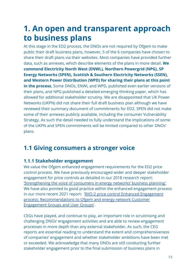# <span id="page-12-0"></span>**1. An open and transparent approach to business plans**

At this stage in the ED2 process, the DNOs are not required by Ofgem to make public their draft business plans, however, 5 of the 6 companies have chosen to share their draft plans via their websites. Most companies have provided further data, such as annexes, which describe elements of the plans in more detail. **We commend Electricity North West (ENWL), Northern Powergrid (NPG), SP Energy Networks (SPEN), Scottish & Southern Electricity Networks (SSEN), and Western Power Distribution (WPD) for sharing their plans at this point in the process.** Some DNOs, ENWL and WPD, published even earlier versions of their plans, and NPG published a detailed emerging thinking paper, which has allowed for additional stakeholder scrutiny. We are disappointed that UK Power Networks (UKPN) did not share their full draft business plan although we have reviewed their summary document of commitments for ED2. SPEN did not make some of their annexes publicly available, including the consumer Vulnerability Strategy. As such the detail needed to fully understand the implications of some of the UKPN and SPEN commitments will be limited compared to other DNOs' plans.

# <span id="page-12-1"></span>**1.1 Giving consumers a stronger voice**

## <span id="page-12-2"></span>**1.1.1 Stakeholder engagement**

We value the Ofgem enhanced engagement requirements for the ED2 price control process. We have previously encouraged wider and deeper stakeholder engagement for price controls as detailed in our 2018 research report: ['Strengthening the voice of consumers in energy networks'](https://www.citizensadvice.org.uk/about-us/our-work/policy/policy-research-topics/energy-policy-research-and-consultation-responses/energy-policy-research/strengthening-the-voice-of-consumers-in-energy-networks-business-planning/) business planning'. We have also pointed to good practice within the enhanced engagement process in our more recent 2021 report: 'RIIO-2 price control [Enhanced Engagement](https://www.citizensadvice.org.uk/about-us/our-work/policy/policy-research-topics/energy-policy-research-and-consultation-responses/energy-policy-research/riio-2-price-control-enhanced-engagement-process-recommendations-to-ofgem-and-energy-network-customer-engagement-groups-and-user-groups/) [process: Recommendations to Ofgem and energy network](https://www.citizensadvice.org.uk/about-us/our-work/policy/policy-research-topics/energy-policy-research-and-consultation-responses/energy-policy-research/riio-2-price-control-enhanced-engagement-process-recommendations-to-ofgem-and-energy-network-customer-engagement-groups-and-user-groups/) Customer [Engagement Groups and User Groups'](https://www.citizensadvice.org.uk/about-us/our-work/policy/policy-research-topics/energy-policy-research-and-consultation-responses/energy-policy-research/riio-2-price-control-enhanced-engagement-process-recommendations-to-ofgem-and-energy-network-customer-engagement-groups-and-user-groups/).

CEGs have played, and continue to play, an important role in scrutinising and challenging DNOs' engagement activities and are able to review engagement processes in more depth than any external stakeholder. As such, the CEG reports are essential reading to understand the extent and comprehensiveness of companies' engagement and whether stakeholder ambitions have been met or exceeded. We acknowledge that many DNOs are still conducting further stakeholder engagement prior to the final submission of business plans in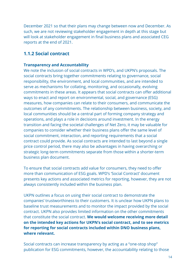December 2021 so that their plans may change between now and December. As such, we are not reviewing stakeholder engagement in depth at this stage but will look at stakeholder engagement in final business plans and associated CEG reports at the end of 2021.

## <span id="page-13-0"></span>**1.1.2 Social contract**

#### **Transparency and Accountability**

We note the inclusion of social contracts in WPD's, and UKPN's proposals. The social contracts bring together commitments relating to governance, social responsibility, the environment, and local communities, and are intended to serve as mechanisms for collating, monitoring, and occasionally, evolving commitments in these areas. It appears that social contracts can offer additional ways to enact and report on environmental, social, and governance (ESG) measures, how companies can relate to their consumers, and communicate the outcomes of any commitments. The relationship between business, society, and local communities should be a central part of forming company strategy and operations, and plays a role in decisions around investment. In the energy transition and facing the societal challenges of Net Zero, it may be valuable for companies to consider whether their business plans offer the same level of social commitment, interaction, and reporting requirements that a social contract could provide. As social contracts are intended to last beyond a single price control period, there may also be advantages in having overarching or strategic long-term commitments separate from those within a shorter-term business plan document.

To ensure that social contracts add value for consumers, they need to offer more than communication of ESG goals. WPD's 'Social Contract' document presents key actions and associated metrics for reporting, however, they are not always consistently included within the business plan.

UKPN outlines a focus on using their social contract to demonstrate the companies' trustworthiness to their customers. It is unclear how UKPN plans to baseline trust measurements and to monitor the impact provided by the social contract. UKPN also provides limited information on the other commitments that constitute the social contract. **We would welcome receiving more detail on the intended key actions for UKPN's social contract, and to see metrics for reporting for social contracts included within DNO business plans, where relevant.**

Social contracts can increase transparency by acting as a "one-stop shop" publication for ESG commitments, however, the accountability relating to those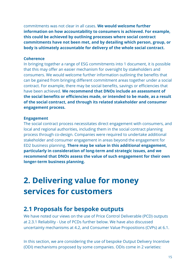commitments was not clear in all cases. **We would welcome further information on how accountability to consumers is achieved. For example, this could be achieved by outlining processes where social contract commitments have not been met, and by detailing which person, group, or body is ultimately accountable for delivery of the whole social contract.**

#### **Coherence**

In bringing together a range of ESG commitments into 1 document, it is possible that this may offer an easier mechanism for oversight by stakeholders and consumers. We would welcome further information outlining the benefits that can be gained from bringing different commitment areas together under a social contract. For example, there may be social benefits, savings or efficiencies that have been achieved. **We recommend that DNOs include an assessment of the social benefits or efficiencies made, or intended to be made, as a result of the social contract, and through its related stakeholder and consumer engagement process.**

#### **Engagement**

The social contract process necessitates direct engagement with consumers, and local and regional authorities, including them in the social contract planning process through co-design. Companies were required to undertake additional stakeholder and consumer engagement in areas beyond the engagement for ED2 business planning. **There may be value in this additional engagement, particularly in consideration of long-term and strategic issues, and we recommend that DNOs assess the value of such engagement for their own longer-term business planning.**

# <span id="page-14-0"></span>**2. Delivering value for money services for customers**

## <span id="page-14-1"></span>**2.1 Proposals for bespoke outputs**

We have noted our views on the use of Price Control Deliverable (PCD) outputs at 2.3.1 Reliability - Use of PCDs further below. We have also discussed uncertainty mechanisms at 4.2, and Consumer Value Propositions (CVPs) at 6.1.

In this section, we are considering the use of bespoke Output Delivery Incentive (ODI) mechanisms proposed by some companies. ODIs come in 2 varieties: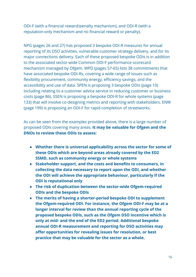ODI-F (with a financial reward/penalty mechanism), and ODI-R (with a reputation-only mechanism and no financial reward or penalty).

NPG (pages 26 and 27) has proposed 3 bespoke ODI-R measures for annual reporting of its DSO activities, vulnerable customer strategy delivery, and for its major connections delivery. Each of these proposed bespoke ODIs is in addition to the associated sector-wide Common ODI-F performance scorecard mechanism managed by Ofgem. WPD (pages 57-65) lists 38 commitments that have associated bespoke ODI-Rs, covering a wide range of issues such as flexibility procurement, community energy, efficiency savings, and the accessibility and use of data. SPEN is proposing 3 bespoke ODIs (page 10) including relating to a customer advice service in reducing customer or business costs (page 86). SSEN is proposing a bespoke ODI-R for whole systems (page 133) that will involve co-designing metrics and reporting with stakeholders. ENW (page 199) is proposing an ODI-F for rapid completion of streetworks.

As can be seen from the examples provided above, there is a large number of proposed ODIs covering many areas. **It may be valuable for Ofgem and the DNOs to review these ODIs to assess:**

- **● Whether there is universal applicability across the sector for some of these ODIs which are beyond areas already covered by the ED2 SSMD, such as community energy or whole systems**
- **● Stakeholder support, and the costs and benefits to consumers, in collecting the data necessary to report upon the ODI, and whether the ODI will achieve the appropriate behaviour, particularly if the ODI is reputational only**
- **● The risk of duplication between the sector-wide Ofgem-required ODIs and the bespoke ODIs**
- **● The merits of having a shorter-period bespoke ODI to supplement the Ofgem-required ODI. For instance, the Ofgem ODI-F may be at a longer interval for review than the annual reporting cycle of the proposed bespoke ODIs, such as the Ofgem DSO incentive which is only at mid- and the end of the ED2 period. Additional bespoke annual ODI-R measurement and reporting for DSO activities may offer opportunities for revealing issues for resolution, or best practice that may be valuable for the sector as a whole.**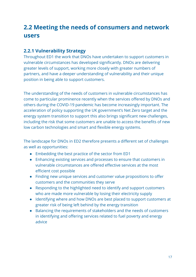# <span id="page-16-0"></span>**2.2 Meeting the needs of consumers and network users**

## <span id="page-16-1"></span>**2.2.1 Vulnerability Strategy**

Throughout ED1 the work that DNOs have undertaken to support customers in vulnerable circumstances has developed significantly. DNOs are delivering greater levels of support, working more closely with greater numbers of partners, and have a deeper understanding of vulnerability and their unique position in being able to support customers.

The understanding of the needs of customers in vulnerable circumstances has come to particular prominence recently when the services offered by DNOs and others during the COVID-19 pandemic has become increasingly important. The acceleration of policy supporting the UK government's Net Zero target and the energy system transition to support this also brings significant new challenges, including the risk that some customers are unable to access the benefits of new low carbon technologies and smart and flexible energy systems.

The landscape for DNOs in ED2 therefore presents a different set of challenges as well as opportunities:

- Embedding the best practice of the sector from ED1
- Enhancing existing services and processes to ensure that customers in vulnerable circumstances are offered effective services at the most efficient cost possible
- Finding new unique services and customer value propositions to offer customers and the communities they serve
- Responding to the highlighted need to identify and support customers who are made more vulnerable by losing their electricity supply
- Identifying where and how DNOs are best placed to support customers at greater risk of being left behind by the energy transition
- Balancing the requirements of stakeholders and the needs of customers in identifying and offering services related to fuel poverty and energy advice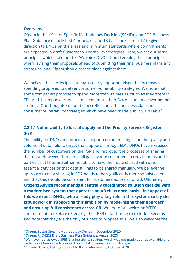#### <span id="page-17-0"></span>**Overview**

Ofgem in their Sector Specific Methodology Decision (SSMD)<sup>5</sup> and ED2 Business Plan Guidance established 4 principles and 13 baseline standards<sup>6</sup> to give direction to DNOs on the areas and minimum standards where commitments are expected in draft Customer Vulnerability Strategies. Here, we set out some principles which build on this. We think DNOs should employ these principles when revising their proposals ahead of submitting their final business plans and strategies, and Ofgem should assess plans against them.

We believe these principles are particularly important given the increased spending proposed to deliver consumer vulnerability strategies. We note that some companies propose to spend more than 3 times as much as they spent in ED1 and 1 company proposes to spend more than £44 million on delivering their strategy. Our thoughts set out below reflect only the business plans and consumer vulnerability strategies which have been made publicly available<sup>7</sup>.

### <span id="page-17-1"></span>**2.2.1.1 Vulnerability to loss of supply and the Priority Services Register (PSR)**

The ability for DNOs and others to support customers hinges on the quality and volume of data held to target that support. Through ED1, DNOs have increased the number of customers on the PSR and improved the processes of sharing that data. However, there are still gaps where customers in certain areas and of particular utilities are either not able to have their data shared with other essential services or that data still has to be shared manually. We believe the approach to data sharing in ED2 needs to be significantly more sophisticated and that this should be consistent for customers across all of GB. Ultimately **Citizens Advice recommends a centrally coordinated solution that delivers a modernised system that operates on a 'tell us once' basis . In support of <sup>8</sup> this we expect DNOs, who already play a key role in this system, to lay the groundwork in supporting this ambition by modernising their approach and ensuring full consistency across GB.** We therefore welcome WPD's commitment to explore extending their PSR data sharing to include telecoms and note that they are the only business to propose this. We also welcome the

<sup>5</sup> Ofgem, Sector Specific [Methodology](https://www.ofgem.gov.uk/publications/riio-ed2-sector-specific-methodology-decision) Decision, December 2020

<sup>6</sup> Ofgem, RIIO-ED2 Draft Business Plan [Guidance,](https://www.ofgem.gov.uk/publications/riio-ed2-draft-business-plan-guidance) August 2020

<sup>&</sup>lt;sup>7</sup> We have not reviewed SPEN's vulnerability strategy which was not made publicly available and we have not been able to review UKPN's full business plan or strategy.

<sup>8</sup> Citizens Advice, Getting [support](https://www.citizensadvice.org.uk/Global/CitizensAdvice/Energy/Final%20-%20modernising%20consumer%20support%20in%20essential%20markets.pdf) to those who need it, October 2020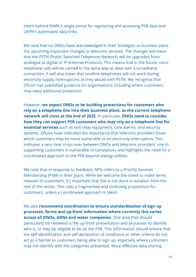intent behind ENWL's single portal for registering and accessing PSR data and UKPN's automated data links.

We note that no DNOs have acknowledged in their strategies or business plans the upcoming important changes to telecoms services. The changes will mean that the PSTN (Public Switched Telephone Network) will be upgraded from analogue to digital or IP (Internet Protocol). This means that in the future, voice telephone calls will be carried in the same way as data over a broadband connection. It will also mean that landline telephones will not work during electricity supply interruptions as they would with PSTN. We recognise that Ofcom has published guidance for organisations including where customers may need additional protection.

However, **we expect DNOs to be building protections for customers who rely on a telephone line into their business plans, as the current telephone network will close at the end of 2025.** In particular, **DNOs need to consider how they can support PSR customers who may rely on a telephone line for essential services** such as text relay equipment, care alarms, and security systems. Ofcom have indicated the importance that telecoms providers know which customers may be more vulnerable to an electricity interruption. This indicates a very clear cross-over between DNOs and telecoms providers' role in supporting customers in vulnerable circumstances and highlights the need for a coordinated approach to the PSR beyond energy utilities.

We note that in response to feedback, NPG refers to a Priority Services Membership (PSM) in their plans. While we welcome the intent to make terms relevant to customers, it's important that this is not done in isolation from the rest of the sector. This risks a fragmented and confusing proposition for customers, unless a coordinated approach is taken.

We also **recommend coordination to ensure standardisation of sign up processes, forms and up-front information where currently this varies across all DNOs, GDNs and water companies.** One area that should particularly be reviewed is the up-front presentation and processes to identify who is, or may be, eligible to be on the PSR. This information should ensure that the self identification and self declaration of conditions or other criteria do not act as a barrier to customers being able to sign up, especially where customers may not identify with the categories presented. More effective data sharing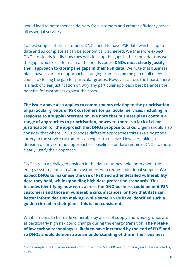would lead to better service delivery for customers and greater efficiency across all essential services.

To best support their customers, DNOs need to have PSR data which is up to date and as complete as can be economically achieved. We therefore expect DNOs to clearly justify how they will close up the gaps in their total data, as well the gaps which exist for each of the needs codes. **DNOs must clearly justify their approach to closing the gaps in their PSR data.** We note that business plans have a variety of approaches ranging from closing the gap of all needs codes to closing the gap for particular groups. However, across the board, there is a lack of clear justification on why any particular approach best balances the benefits for customers against the costs.

**The issue above also applies to commitments relating to the prioritisation of particular groups of PSR customers for particular services, including in response to a supply interruption. We note that business plans contain a range of approaches to prioritisation, however, there is a lack of clear justification for the approach that DNOs propose to take.** Ofgem should also consider that where DNOs propose different approaches this risks a postcode lottery in the service customers can expect to receive. However, taking a decision on any common approach or baseline standard requires DNOs to more clearly justify their approach.

DNOs are in a privileged position in the data that they hold, both about the energy system, but also about customers who require additional support. **We expect DNOs to maximise the use of PSR and other detailed vulnerability data they hold, while upholding high data protection standards. This includes identifying how work across the DNO business could benefit PSR customers and those in vulnerable circumstances, or how that data can better inform decision making. While some DNOs have identified such a golden thread in their plans, this is not consistent.**

What it means to be made vulnerable by a loss of supply and which groups are at particularly high risk could change during the energy transition. **The uptake of low carbon technology is likely to have increased by the end of ED2 and <sup>9</sup> so DNOs should demonstrate an understanding of this in their business**

<sup>9</sup> For example, the UK government commitment for 600,000 heat pumps a year to be installed by 2028.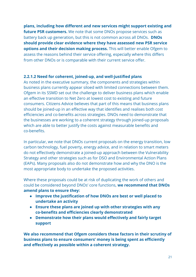**plans, including how different and new services might support existing and future PSR customers.** We note that some DNOs propose services such as battery back up generation, but this is not common across all DNOs. **DNOs should provide clear evidence where they have assessed new PSR service options and their decision making process.** This will better enable Ofgem to assess the reasons behind their service offering, especially where this differs from other DNOs or is comparable with their current service offer.

#### <span id="page-20-0"></span>**2.2.1.2 Need for coherent, joined-up, and well-justified plans**

As noted in the executive summary, the components and strategies within business plans currently appear siloed with limited connections between them. Ofgem in its SSMD set out the challenge to deliver business plans which enable an effective transition to Net Zero at lowest cost to existing and future consumers. Citizens Advice believes that part of this means that business plans should be joined-up in an effective way that identifies and realises both cost efficiencies and co-benefits across strategies. DNOs need to demonstrate that the businesses are working to a coherent strategy through joined-up proposals which are able to better justify the costs against measurable benefits and co-benefits.

In particular, we note that DNOs current proposals on the energy transition, low carbon technology, fuel poverty, energy advice, and in relation to smart meters do not effectively demonstrate a joined-up approach between the Vulnerability Strategy and other strategies such as for DSO and Environmental Action Plans (EAPs). Many proposals also do not demonstrate how and why the DNO is the most appropriate body to undertake the proposed activities.

Where these proposals could be at risk of duplicating the work of others and could be considered beyond DNOs' core functions, **we recommend that DNOs amend plans to ensure they:**

- **● Improve the justification of how DNOs are best or well placed to undertake an activity**
- **● Ensure these plans are joined up with other strategies with any co-benefits and efficiencies clearly demonstrated**
- **● Demonstrate how their plans would effectively and fairly target support**

**We also recommend that Ofgem considers these factors in their scrutiny of business plans to ensure consumers' money is being spent as efficiently and effectively as possible within a coherent strategy.**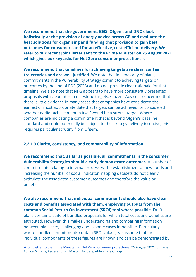**We recommend that the government, BEIS, Ofgem, and DNOs look holistically at the provision of energy advice across GB and evaluate the best solutions for organising and funding that provision to gain best outcomes for consumers and for an effective, cost-efficient delivery. We refer to our recent joint letter sent to the Prime Minister on 25 August 2021** which gives our key asks for Net Zero consumer protections<sup>10</sup>.

**We recommend that timelines for achieving targets are clear, contain trajectories and are well justified.** We note that in a majority of plans, commitments in the Vulnerability Strategy commit to achieving targets or outcomes by the end of ED2 (2028) and do not provide clear rationale for that timeline. We also note that NPG appears to have more consistently presented proposals with clear interim milestone targets. Citizens Advice is concerned that there is little evidence in many cases that companies have considered the earliest or most appropriate date that targets can be achieved, or considered whether earlier achievement in itself would be a stretch target. Where companies are indicating a commitment that is beyond Ofgem's baseline standard and could potentially be subject to the strategy delivery incentive, this requires particular scrutiny from Ofgem.

#### <span id="page-21-0"></span>**2.2.1.3 Clarity, consistency, and comparability of information**

**We recommend that, as far as possible, all commitments in the consumer Vulnerability Strategies should clearly demonstrate outcomes.** A number of commitments relating to internal processes, the establishment of new funds and increasing the number of social indicator mapping datasets do not clearly articulate the associated customer outcomes and therefore the value or benefits.

**We also recommend that individual commitments should also have clear costs and benefits associated with them, employing outputs from the common Social Return On Investment (SROI) tool where possible.** Draft plans contain a suite of bundled proposals for which total costs and benefits are attributed. However, this makes understanding and comparing information between plans very challenging and in some cases impossible. Particularly where bundled commitments contain SROI values, we assume that the individual components of these figures are known and can be demonstrated by

<sup>&</sup>lt;sup>10</sup> Joint letter to the Prime Minister on Net Zero consumer [protections](https://www.citizensadvice.org.uk/Global/CitizensAdvice/Energy/Net%20zero%20joint%20letter%20to%20the%20Prime%20Minister%20-%202021-08-25.pdf), 25 August 2021, Citizens Advice, Which?, Federation of Master Builders, Aldersgate Group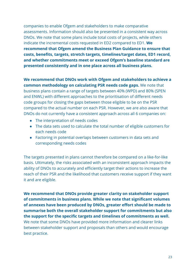companies to enable Ofgem and stakeholders to make comparative assessments. Information should also be presented in a consistent way across DNOs. We note that some plans include total costs of projects, while others indicate the incremental costs requested in ED2 compared to ED1. **We recommend that Ofgem amend the Business Plan Guidance to ensure that costs, benefits, targets, stretch targets, timelines/target dates, ED1 record, and whether commitments meet or exceed Ofgem's baseline standard are presented consistently and in one place across all business plans.**

## **We recommend that DNOs work with Ofgem and stakeholders to achieve a common methodology on calculating PSR needs code gaps.** We note that

business plans contain a range of targets between 40% (WPD) and 80% (SPEN and ENWL) with different approaches to the prioritisation of different needs code groups for closing the gaps between those eligible to be on the PSR compared to the actual number on each PSR. However, we are also aware that DNOs do not currently have a consistent approach across all 6 companies on:

- The interpretation of needs codes
- The data sets used to calculate the total number of eligible customers for each needs code
- Factoring in potential overlaps between customers in data sets and corresponding needs codes

The targets presented in plans cannot therefore be compared on a like-for-like basis. Ultimately, the risks associated with an inconsistent approach impacts the ability of DNOs to accurately and efficiently target their actions to increase the reach of their PSR and the likelihood that customers receive support if they want it and are eligible.

**We recommend that DNOs provide greater clarity on stakeholder support of commitments in business plans. While we note that significant volumes of annexes have been produced by DNOs, greater effort should be made to summarise both the overall stakeholder support for commitments but also the support for the specific targets and timelines of commitments as well.** We note that some DNOs have provided more information and clearer links between stakeholder support and proposals than others and would encourage best practice.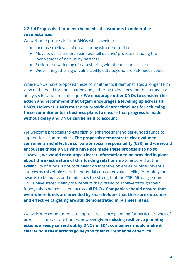### <span id="page-23-0"></span>**2.2.1.4 Proposals that meet the needs of customers in vulnerable circumstances**

We welcome proposals from DNOs which seek to:

- Increase the levels of data sharing with other utilities
- Move towards a more seamless 'tell us once' process including the involvement of non-utility partners
- Explore the widening of data sharing with the telecoms sector
- Widen the gathering of vulnerability data beyond the PSR needs codes

Where DNOs have proposed these commitments it demonstrates a longer term view of the need for data sharing and gathering to look beyond the immediate utility sector and the status quo. **We encourage other DNOs to consider this action and recommend that Ofgem encourages a levelling up across all DNOs. However, DNOs must also provide clearer timelines for achieving these commitments in business plans to ensure that progress is made without delay and DNOs can be held to account.**

We welcome proposals to establish or enhance shareholder-funded funds to support local communities. **The proposals demonstrate clear value to consumers and effective corporate social responsibility (CSR) and we would encourage those DNOs who have not made these proposals to do so.** However, **we would encourage clearer information to be provided in plans about the exact nature of this funding relationship** to ensure that the availability of funds is not contingent on incentive revenues or other revenue sources as this diminishes the potential consumer value, ability for multi-year awards to be made, and diminishes the strength of the CSR. Although some DNOs have stated clearly the benefits they intend to achieve through their funds, this is not consistent across all DNOs. **Companies should ensure that even where funds are provided by shareholders that there are outcomes and effective targeting are still demonstrated in business plans.**

We welcome commitments to improve resilience planning for particular types of premises, such as care homes, however **given existing resilience planning actions already carried out by DNOs in ED1, companies should make it clearer how their actions go beyond their current level of service.**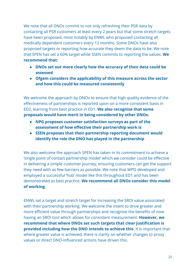We note that all DNOs commit to not only refreshing their PSR data by contacting all PSR customers at least every 2 years but that some stretch targets have been proposed, most notably by ENWL who proposed contacting all medically dependent customers every 12 months. Some DNOs have also proposed targets or reporting how accurate they deem the data to be. We note that SPEN has set a 60% target while SSEN commits to reporting the values. **We recommend that:**

- **● DNOs set out more clearly how the accuracy of their data could be assessed**
- **● Ofgem considers the applicability of this measure across the sector and how this could be measured consistently**

We welcome the approach by DNOs to ensure that high quality evidence of the effectiveness of partnerships is reported upon on a more consistent basis in ED2, learning from best practice in ED1. **We also recognise that some proposals would have merit in being considered by other DNOs:**

- **● NPG proposes customer satisfaction surveys as part of the assessment of how effective their partnership work is**
- **● SSEN proposes that their partnership reporting document would identify the role the DNO has played in the partnership**

We also welcome the approach SPEN has taken in its commitment to achieve a 'single point of contact partnership model' which we consider could be effective in delivering a simple customer journey, ensuring customers can get the support they need with as few barriers as possible. We note that WPD developed and employed a successful 'hub' model like this throughout ED1 and has been demonstrated as best practice. **We recommend all DNOs consider this model of working.**

ENWL set a target and stretch target for increasing the SROI value associated with their partnership working. We welcome the intent to drive greater and more efficient value through partnerships and recognise the benefits of now having an SROI tool which allows for consistent measurement. **However, we recommend that where DNOs set such targets that clear justification is provided including how the DNO intends to achieve this**. It is important that where greater value is achieved, there is clarity on whether changes to proxy values or direct DNO-influenced actions have driven this.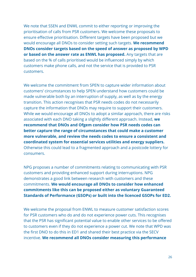We note that SSEN and ENWL commit to either reporting or improving the prioritisation of calls from PSR customers. We welcome these proposals to ensure effective prioritisation. Different targets have been proposed but we would encourage all DNOs to consider setting such targets. **We recommend DNOs consider targets based on the speed of answer as proposed by WPD or based on the answer rate as ENWL has proposed.** Any targets that are based on the % of calls prioritised would be influenced simply by which customers make phone calls, and not the service that is provided to PSR customers.

We welcome the commitment from SPEN to capture wider information about customers' circumstances to help SPEN understand how customers could be made vulnerable both by an interruption of supply, as well as by the energy transition. This action recognises that PSR needs codes do not necessarily capture the information that DNOs may require to support their customers. While we would encourage all DNOs to adopt a similar approach, there are risks associated with each DNO taking a slightly different approach. Instead, **we recommend that DNOs and Ofgem consider how PSR needs codes can better capture the range of circumstances that could make a customer more vulnerable, and review the needs codes to ensure a consistent and coordinated system for essential services utilities and energy suppliers.** Otherwise this could lead to a fragmented approach and a postcode lottery for consumers.

NPG proposes a number of commitments relating to communicating with PSR customers and providing enhanced support during interruptions. NPG demonstrates a good link between research with customers and these commitments. **We would encourage all DNOs to consider how enhanced commitments like this can be proposed either as voluntary Guaranteed Standards of Performance (GSOPs) or built into the licenced GSOPs for ED2.**

We welcome the proposal from ENWL to measure customer satisfaction scores for PSR customers who do and do not experience power cuts. This recognises that the PSR has significant potential value to enable other services to be offered to customers even if they do not experience a power cut. We note that WPD was the first DNO to do this in ED1 and shared their best practice via the SECV incentive. **We recommend all DNOs consider measuring this performance**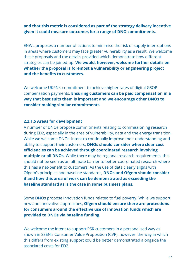#### **and that this metric is considered as part of the strategy delivery incentive given it could measure outcomes for a range of DNO commitments.**

ENWL proposes a number of actions to minimise the risk of supply interruptions in areas where customers may face greater vulnerability as a result. We welcome these proposals and the details provided which demonstrate how different strategies can be joined-up. **We would, however, welcome further details on whether the proposal is foremost a vulnerability or engineering project and the benefits to customers.**

We welcome UKPN's commitment to achieve higher rates of digital GSOP compensation payments. **Ensuring customers can be paid compensation in a way that best suits them is important and we encourage other DNOs to consider making similar commitments.**

#### <span id="page-26-0"></span>**2.2.1.5 Areas for development**

A number of DNOs propose commitments relating to commissioning research during ED2, especially in the area of vulnerability, data and the energy transition. While we welcome DNOs' intent to continually improve their understanding and ability to support their customers, **DNOs should consider where clear cost efficiencies can be achieved through coordinated research involving multiple or all DNOs.** While there may be regional research requirements, this should not be seen as an ultimate barrier to better-coordinated research where this has a net-benefit to customers. As the use of data clearly aligns with Ofgem's principles and baseline standards, **DNOs and Ofgem should consider if and how this area of work can be demonstrated as exceeding the baseline standard as is the case in some business plans.**

Some DNOs propose innovation funds related to fuel poverty. While we support new and innovative approaches, **Ofgem should ensure there are protections for consumers around the effective use of innovation funds which are provided to DNOs via baseline funding.**

We welcome the intent to support PSR customers in a personalised way as shown in SSEN's Consumer Value Proposition (CVP), however, the way in which this differs from existing support could be better demonstrated alongside the associated costs for ED2.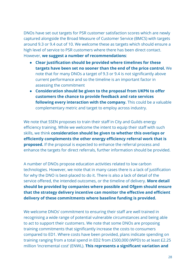DNOs have set out targets for PSR customer satisfaction scores which are newly captured alongside the Broad Measure of Customer Service (BMCS) with targets around 9.3 or 9.4 out of 10. We welcome these as targets which should ensure a high level of service to PSR customers where there has been direct contact. However, **we suggest a number of recommendations**:

- **Clear justification should be provided where timelines for these targets have been set no sooner than the end of the price control.** We note that for many DNOs a target of 9.3 or 9.4 is not significantly above current performance and so the timeline is an important factor in assessing the commitment
- **Consideration should be given to the proposal from UKPN to offer customers the chance to provide feedback and rate services following every interaction with the company.** This could be a valuable complementary metric and target to employ across industry.

We note that SSEN proposes to train their staff in City and Guilds energy efficiency training. While we welcome the intent to equip their staff with such skills, we think **consideration should be given to whether this overlaps or efficiently complements the other energy efficiency referral work that is proposed.** If the proposal is expected to enhance the referral process and enhance the targets for direct referrals, further information should be provided.

A number of DNOs propose education activities related to low carbon technologies. However, we note that in many cases there is a lack of justification for why the DNO is best-placed to do it. There is also a lack of detail of the service offered, the intended outcomes, or the timeline of delivery. **More detail should be provided by companies where possible and Ofgem should ensure that the strategy delivery incentive can monitor the effective and efficient delivery of these commitments where baseline funding is provided.**

We welcome DNOs' commitment to ensuring their staff are well trained in recognising a wide range of potential vulnerable circumstances and being able to act to support their customers. We note that some DNOs are proposing training commitments that significantly increase the costs to consumers compared to ED1. Where costs have been provided, plans indicate spending on training ranging from a total spend in ED2 from £500,000 (WPD) to at least £2.25 million 'incremental cost' (ENWL). **This represents a significant variation and**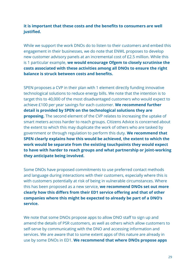#### **it is important that these costs and the benefits to consumers are well justified.**

While we support the work DNOs do to listen to their customers and embed this engagement in their businesses, we do note that ENWL proposes to develop new customer advisory panels at an incremental cost of £2.5 million. While this is 1 particular example, **we would encourage Ofgem to closely scrutinise the costs associated with these activities among all DNOs to ensure the right balance is struck between costs and benefits.**

SPEN proposes a CVP in their plan with 1 element directly funding innovative technological solutions to reduce energy bills. We note that the intention is to target this to 40,000 of the most disadvantaged customers who would expect to achieve £100 per year savings for each customer. **We recommend further detail is provided by SPEN on the technological solutions they are proposing.** The second element of the CVP relates to increasing the uptake of smart meters across harder to reach groups. Citizens Advice is concerned about the extent to which this may duplicate the work of others who are tasked by government or through regulation to perform this duty. **We recommend that SPEN clearly explains how this would be achieved, the extent to which the work would be separate from the existing touchpoints they would expect to have with harder to reach groups and what partnership or joint-working they anticipate being involved.**

Some DNOs have proposed commitments to use preferred contact methods and language during interactions with their customers, especially where this is with customers potentially at risk of being in vulnerable circumstances. Where this has been proposed as a new service, **we recommend DNOs set out more clearly how this differs from their ED1 service offering and that of other companies where this might be expected to already be part of a DNO's service.**

We note that some DNOs propose apps to allow DNO staff to sign up and amend the details of PSR customers, as well as others which allow customers to self-serve by communicating with the DNO and accessing information and services. We are aware that to some extent apps of this nature are already in use by some DNOs in ED1. **We recommend that where DNOs propose apps**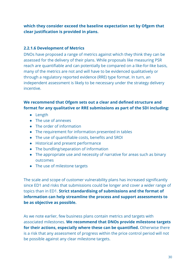**which they consider exceed the baseline expectation set by Ofgem that clear justification is provided in plans.**

#### <span id="page-29-0"></span>**2.2.1.6 Development of Metrics**

DNOs have proposed a range of metrics against which they think they can be assessed for the delivery of their plans. While proposals like measuring PSR reach are quantifiable and can potentially be compared on a like-for-like basis, many of the metrics are not and will have to be evidenced qualitatively or through a regulatory reported evidence (RRE) type format. In turn, an independent assessment is likely to be necessary under the strategy delivery incentive.

### **We recommend that Ofgem sets out a clear and defined structure and format for any qualitative or RRE submissions as part of the SDI including:**

- Length
- The use of annexes
- The order of information
- The requirement for information presented in tables
- The use of quantifiable costs, benefits and SROI
- Historical and present performance
- The bundling/separation of information
- The appropriate use and necessity of narrative for areas such as binary outcomes
- The use of milestone targets

The scale and scope of customer vulnerability plans has increased significantly since ED1 and risks that submissions could be longer and cover a wider range of topics than in ED1. **Strict standardising of submissions and the format of information can help streamline the process and support assessments to be as objective as possible.**

As we note earlier, few business plans contain metrics and targets with associated milestones. **We recommend that DNOs provide milestone targets for their actions, especially where these can be quantified.** Otherwise there is a risk that any assessment of progress within the price control period will not be possible against any clear milestone targets.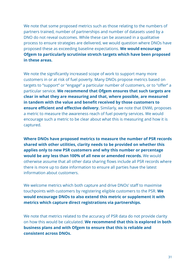We note that some proposed metrics such as those relating to the numbers of partners trained, number of partnerships and number of datasets used by a DNO do not reveal outcomes. While these can be assessed in a qualitative process to ensure strategies are delivered, we would question where DNOs have proposed these as exceeding baseline expectations. **We would encourage Ofgem to particularly scrutinise stretch targets which have been proposed in these areas.**

We note the significantly increased scope of work to support many more customers in or at risk of fuel poverty. Many DNOs propose metrics based on targets to "support" or "engage" a particular number of customers, or to "offer" a particular service. **We recommend that Ofgem ensures that such targets are clear in what they are measuring and that, where possible, are measured in tandem with the value and benefit received by those customers to ensure efficient and effective delivery.** Similarly, we note that ENWL proposes a metric to measure the awareness reach of fuel poverty services. We would encourage such a metric to be clear about what this is measuring and how it is captured.

**Where DNOs have proposed metrics to measure the number of PSR records shared with other utilities, clarity needs to be provided on whether this applies only to new PSR customers and why this number or percentage would be any less than 100% of all new or amended records.** We would otherwise assume that all other data sharing flows include all PSR records where there is more up to date information to ensure all parties have the latest information about customers.

We welcome metrics which both capture and drive DNOs' staff to maximise touchpoints with customers by registering eligible customers to the PSR. **We would encourage DNOs to also extend this metric or supplement it with metrics which capture direct registrations via partnerships.**

We note that metrics related to the accuracy of PSR data do not provide clarity on how this would be calculated. **We recommend that this is explored in both business plans and with Ofgem to ensure that this is reliable and consistent across DNOs.**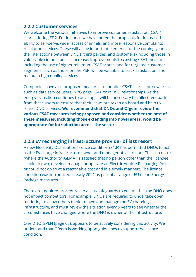### <span id="page-31-0"></span>**2.2.2 Customer services**

We welcome the various initiatives to improve customer satisfaction (CSAT) scores during ED2. For instance we have noted the proposals for increased ability to self-serve, wider access channels, and more responsive complaints resolution services. These will all be important elements for the coming years as the interactions between DNOs, third parties, and customers (including those in vulnerable circumstances) increase. Improvements to existing CSAT measures including the use of higher minimum CSAT scores, and for targeted customer segments, such as those on the PSR, will be valuable to track satisfaction, and maintain high quality services.

Companies have also proposed measures to monitor CSAT scores for new areas, such as data service users (NPG page 124), or in DSO relationships. As the energy transition continues to develop, it will be necessary to collect feedback from these users to ensure that their views are taken on board and help to refine DNO services. **We recommend that DNOs and Ofgem review the various CSAT measures being proposed and consider whether the best of these measures, including those extending into novel areas, would be appropriate for introduction across the sector.**

## <span id="page-31-1"></span>**2.2.3 EV recharging infrastructure provider of last resort**

A new Electricity Distribution licence condition (31.F) has permitted DNOs to act as the EV charge infrastructure owner and manager of last resort. This can occur "where the Authority [GEMA] is satisfied that no person other than the licensee is able to own, develop, manage or operate an Electric Vehicle Recharging Point or could not do so at a reasonable cost and in a timely manner". The licence condition was introduced in early 2021 as part of a range of EU Clean Energy Package measures.

There are required procedures to act as safeguards to ensure that the DNO does not impact competitors. For example, DNOs are required to undertake open tendering to allow others to bid to own and manage the EV charging infrastructure, and must review the situation every 5 years to see whether the circumstances have changed where the DNO is owner of the infrastructure.

One DNO, SPEN (page 63), appears to be actively considering this activity. We understand that Ofgem is working upon guidelines to support the licence condition.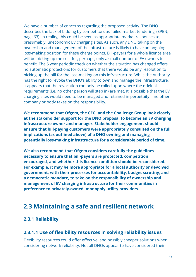We have a number of concerns regarding the proposed activity. The DNO describes the lack of bidding by competitors as 'failed market tendering' (SPEN, page 63). In reality, this could be seen as appropriate market responses to, presumably, uneconomic EV charging sites. As such, any DNO taking on the ownership and management of the infrastructure is likely to have an ongoing loss-making position for these charge points. Bill-payers for a whole licence area will be picking up the cost for, perhaps, only a small number of EV owners to benefit. The 5 year periodic check on whether the situation has changed offers no automatic protections for customers that there would be any resolution to picking up the bill for the loss-making on this infrastructure. While the Authority has the right to revoke the DNO's ability to own and manage the infrastructure, it appears that the revocation can only be called upon where the original requirements (i.e. no other person will step in) are met. It is possible that the EV charging sites would need to be managed and retained in perpetuity if no other company or body takes on the responsibility.

**We recommend that Ofgem, the CEG, and the Challenge Group look closely at the stakeholder support for the DNO proposal to become an EV charging infrastructure owner and manager. Stakeholder engagement should ensure that bill-paying customers were appropriately consulted on the full implications (as outlined above) of a DNO owning and managing potentially loss-making infrastructure for a considerable period of time.**

**We also recommend that Ofgem considers carefully the guidelines necessary to ensure that bill-payers are protected, competition encouraged, and whether this licence condition should be reconsidered. For example, it may be more appropriate for a local authority or devolved government, with their processes for accountability, budget scrutiny, and a democratic mandate, to take on the responsibility of ownership and management of EV charging infrastructure for their communities in preference to privately-owned, monopoly utility providers.**

## <span id="page-32-0"></span>**2.3 Maintaining a safe and resilient network**

## <span id="page-32-1"></span>**2.3.1 Reliability**

## <span id="page-32-2"></span>**2.3.1.1 Use of flexibility resources in solving reliability issues**

Flexibility resources could offer effective, and possibly cheaper solutions when considering network reliability. Not all DNOs appear to have considered their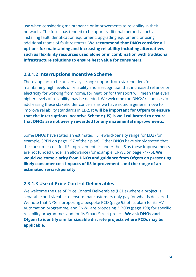use when considering maintenance or improvements to reliability in their networks. The focus has tended to be upon traditional methods, such as installing fault identification equipment, upgrading equipment, or using additional teams of fault restorers. **We recommend that DNOs consider all options for maintaining and increasing reliability including alternatives such as flexibility resources used alone or in combination with traditional infrastructure solutions to ensure best value for consumers.**

## <span id="page-33-0"></span>**2.3.1.2 Interruptions Incentive Scheme**

There appears to be universally strong support from stakeholders for maintaining high levels of reliability and a recognition that increased reliance on electricity for working from home, for heat, or for transport will mean that even higher levels of reliability may be needed. We welcome the DNOs' responses in addressing these stakeholder concerns as we have noted a general move to improve reliability standards in ED2. **It will be important for Ofgem to ensure that the Interruptions Incentive Scheme (IIS) is well calibrated to ensure that DNOs are not overly rewarded for any incremental improvements.**

Some DNOs have stated an estimated IIS reward/penalty range for ED2 (for example, SPEN on page 157 of their plan). Other DNOs have simply stated that the consumer cost for IIS improvements is under the IIS as these improvements are not funded under an allowance (for example, ENWL on page 74/75). **We would welcome clarity from DNOs and guidance from Ofgem on presenting likely consumer cost impacts of IIS improvements and the range of an estimated reward/penalty.**

## <span id="page-33-1"></span>**2.3.1.3 Use of Price Control Deliverables**

We welcome the use of Price Control Deliverables (PCDs) where a project is separable and sizeable to ensure that customers only pay for what is delivered. We note that NPG is proposing a bespoke PCD (page 95 of its plan) for its HV Automation programme, and ENWL are proposing 3 PCDs (page 198) for specific reliability programmes and for its Smart Street project. **We ask DNOs and Ofgem to identify similar sizeable discrete projects where PCDs may be applicable.**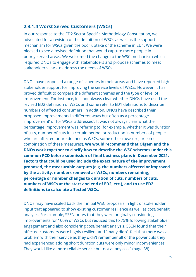### <span id="page-34-0"></span>**2.3.1.4 Worst Served Customers (WSCs)**

In our response to the ED2 Sector Specific Methodology Consultation, we advocated for a revision of the definition of WSCs as well as the support mechanism for WSCs given the poor uptake of the scheme in ED1. We were pleased to see a revised definition that would capture more people in poorly-served areas. We welcomed the change to the WSC mechanism which required DNOs to engage with stakeholders and propose schemes to meet stakeholder views to address the needs of WSCs.

DNOs have proposed a range of schemes in their areas and have reported high stakeholder support for improving the service levels of WSCs. However, it has proved difficult to compare the different schemes and the type or level of improvement. For instance, it is not always clear whether DNOs have used the revised ED2 definition of WSCs and some refer to ED1 definitions to describe numbers of affected consumers. In addition, DNOs have described their proposed improvements in different ways but often as a percentage 'improvement' or for WSCs 'addressed'. It was not always clear what the percentage improvement was referring to (for example, whether it was duration of cuts, number of cuts in a certain period, or reduction in numbers of people who are affected or are defined as WSCs, some other measure, or some combination of these measures). **We would recommend that Ofgem and the DNOs work together to clarify how to describe the WSC schemes under this common PCD before submission of final business plans in December 2021. Factors that could be used include the exact nature of the improvement proposed, the measurable outputs (e.g. the numbers affected or improved by the activity, numbers removed as WSCs, numbers remaining, percentage or number changes to duration of cuts, numbers of cuts, numbers of WSCs at the start and end of ED2, etc.), and to use ED2 definitions to calculate affected WSCs.**

DNOs may have scaled back their initial WSC proposals in light of stakeholder input that appeared to show existing customer resilience as well as cost/benefit analysis. For example, SSEN notes that they were originally considering improvements for 100% of WSCs but reduced this to 75% following stakeholder engagement and also considering cost/benefit analysis. SSEN found that their affected customers were highly resilient and "many didn't feel that there was a problem with their service as they didn't remember all of the power cuts they had experienced adding short duration cuts were only minor inconveniences. They would like a more reliable service but not at any cost" (page 38).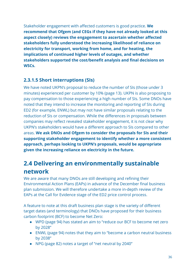Stakeholder engagement with affected customers is good practice. **We recommend that Ofgem (and CEGs if they have not already looked at this aspect closely) reviews the engagement to ascertain whether affected stakeholders fully understood the increasing likelihood of reliance on electricity for transport, working from home, and for heating, the implications of continued higher levels of outages, and whether stakeholders supported the cost/benefit analysis and final decisions on WSCs.**

## <span id="page-35-0"></span>**2.3.1.5 Short interruptions (SIs)**

We have noted UKPN's proposal to reduce the number of SIs (those under 3 minutes) experienced per customer by 10% (page 13). UKPN is also proposing to pay compensation to those experiencing a high number of SIs. Some DNOs have noted that they intend to increase the monitoring and reporting of SIs during ED2 (for example, ENWL) but may not have similar proposals relating to the reduction of SIs or compensation. While the differences in proposals between companies may reflect revealed stakeholder engagement, it is not clear why UKPN's stakeholders would have a different approach to SIs compared to other areas. **We ask DNOs and Ofgem to consider the proposals for SIs and their supporting stakeholder engagement to identify whether a more consistent approach, perhaps looking to UKPN's proposals, would be appropriate given the increasing reliance on electricity in the future.**

# **2.4 Delivering an environmentally sustainable network**

<span id="page-35-1"></span>We are aware that many DNOs are still developing and refining their Environmental Action Plans (EAPs) in advance of the December final business plan submission. We will therefore undertake a more in-depth review of the EAPs at the Call for Evidence stage of the ED2 price control process.

A feature to note at this draft business plan stage is the variety of different target dates (and terminology) that DNOs have proposed for their business carbon footprint (BCF) to become Net Zero:

- WPD (page 94) has stated an aim to "reduce our BCF to become net zero by 2028"
- ENWL (page 94) notes that they aim to "become a carbon neutral business by 2038"
- NPG (page 82) notes a target of "net neutral by 2040"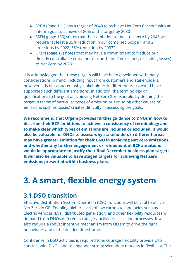- SPEN (Page 111) has a target of 2040 to "achieve Net Zero Carbon" with an interim goal to achieve of 80% of the target by 2030
- SSEN (page 135) states that their ambition to meet net zero by 2045 will require "at least a 35% reduction in our combined Scope 1 and 2 emissions by 2028, 55% reduction by 2033"
- UKPN (page 17) notes that they have a commitment to "reduce our directly controllable emissions (scope 1 and 2 emissions, excluding losses) to Net Zero by 2028".

It is acknowledged that these targets will have been developed with many considerations in mind, including input from customers and stakeholders, however, it is not apparent why stakeholders in different areas would have supported such different ambitions. In addition, the terminology or qualifications to the goal of achieving Net Zero (for example, by defining the target in terms of particular types of emission or excluding other causes of emissions such as losses) creates difficulty in assessing the goals.

**We recommend that Ofgem provides further guidance to DNOs in how to describe their BCF ambitions to achieve a consistency of terminology and to make clear which types of emissions are included or excluded. It would also be valuable for DNOs to assess why stakeholders in different areas may have greater ambition for their DNO in achieving Net Zero emissions, and whether any further engagement or refinement of BCF ambitions would be appropriate to justify their final December business plan targets. It will also be valuable to have staged targets for achieving Net Zero emissions presented within business plans.**

# <span id="page-36-0"></span>**3. A smart, flexible energy system**

## <span id="page-36-1"></span>**3.1 DSO transition**

Effective Distribution System Operation (DSO) functions will be vital to deliver Net Zero in GB. Enabling higher levels of low carbon technologies such as Electric Vehicles (EVs), distributed generation, and other flexibility resources will demand from DNOs different strategies, activities, skills and processes. It will also require a robust incentive mechanism from Ofgem to drive the right behaviours and in the needed time frame.

Confidence in DSO activities is required to encourage flexibility providers to contract with DNOs and to engender strong secondary markets in flexibility. The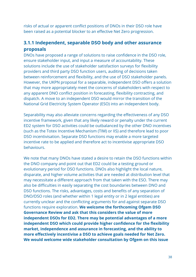risks of actual or apparent conflict positions of DNOs in their DSO role have been raised as a potential blocker to an effective Net Zero progression.

## <span id="page-37-0"></span>**3.1.1 Independent, separable DSO body and other assurance proposals**

DNOs have proposed a range of solutions to raise confidence in the DSO role, ensure stakeholder input, and input a measure of accountability. These solutions include the use of stakeholder satisfaction surveys for flexibility providers and third party DSO function users, auditing of decisions taken between reinforcement and flexibility, and the use of DSO stakeholder panels. However, the UKPN proposal for a separable, independent DSO offers a solution that may more appropriately meet the concerns of stakeholders with respect to any apparent DNO conflict position in forecasting, flexibility contracting, and dispatch. A move to an independent DSO would mirror the transition of the National Grid Electricity System Operator (ESO) into an independent body.

Separability may also alleviate concerns regarding the effectiveness of any DSO incentive framework, given that any likely reward or penalty under the current ED2 system for DSO activities could be outbalanced by the other DNO incentives (such as the Totex Incentive Mechanism (TIM) or IIS) and therefore lead to poor DSO incentivisation. Separate DSO functions may enable a more targeted incentive rate to be applied and therefore act to incentivise appropriate DSO behaviours.

We note that many DNOs have stated a desire to retain the DSO functions within the DNO company and point out that ED2 could be a testing ground or evolutionary period for DSO functions. DNOs also highlight the local nature, disparate, and higher volume activities that are needed at distribution level that may necessitate a different approach from that taken with the ESO. There may also be difficulties in easily separating the cost boundaries between DNO and DSO functions. The risks, advantages, costs and benefits of any separation of DNO/DSO roles (and whether within 1 legal entity or in 2 legal entities) are currently unclear and the conflicting arguments for and against separate DSO functions require exploration. **We welcome the forthcoming Ofgem DSO Governance Review and ask that this considers the value of more independent DSOs for ED2. There may be potential advantages of a more independent DSO which could provide higher confidence for the flexibility market, independence and assurance in forecasting, and the ability to more effectively incentivise a DSO to achieve goals needed for Net Zero. We would welcome wide stakeholder consultation by Ofgem on this issue**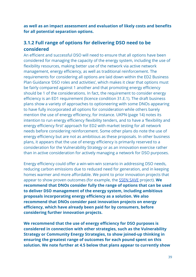**as well as an impact assessment and evaluation of likely costs and benefits for all potential separation options.**

## <span id="page-38-0"></span>**3.1.2 Full range of options for delivering DSO need to be considered**

An efficient and successful DSO will need to ensure that all options have been considered for managing the capacity of the energy system, including the use of flexibility resources, making better use of the network via active network management, energy efficiency, as well as traditional reinforcement. The requirements for considering all options are laid down within the ED2 Business Plan Guidance 'DSO roles and activities', which makes it clear that options must be fairly compared against 1 another and that promoting energy efficiency should be 1 of the considerations. In fact, the requirement to consider energy efficiency is an ED1 requirement (licence condition 31.E.1). The draft business plans show a variety of approaches to optioneering with some DNOs appearing to have fully incorporated all options for consideration while others barely mention the use of energy efficiency, for instance. UKPN (page 14) notes its intention to run energy efficiency flexibility tenders, and to have a 'flexibility and energy efficiency first' approach for ED2 with market testing for all network needs before considering reinforcement. Some other plans do note the use of energy efficiency but are not as ambitious as these proposals. In other business plans, it appears that the use of energy efficiency is primarily reserved to a consideration for the Vulnerability Strategy or as an innovation exercise rather than in active consideration for actively managing a network for DSO purposes.

Energy efficiency could offer a win-win-win scenario in addressing DSO needs, reducing carbon emissions due to reduced need for generation, and in keeping homes warmer and more affordable. We point to prior innovation projects that appear to show proven outcomes (for example, the [SSEN](http://news.ssen.co.uk/news/all-articles/2019/june/ssens-save-project-findings-show-significant-reduction-in-carbon-emissions-and-household-energy-costs/) SAVE project). **We recommend that DNOs consider fully the range of options that can be used to deliver DSO management of the energy system, including ambitious proposals incorporating energy efficiency as a solution. We also recommend that DNOs consider past innovation projects on energy efficiency, which have already been paid for by consumers, before considering further innovation projects.**

**We recommend that the use of energy efficiency for DSO purposes is considered in connection with other strategies, such as the Vulnerability Strategy or Community Energy Strategies, to show joined-up thinking in ensuring the greatest range of outcomes for each pound spent on this solution. We note further at 4.5 below that plans appear to currently show**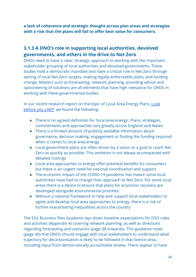**a lack of coherence and strategic thought across plan areas and strategies with a risk that the plans will fail to offer best value for consumers.**

## <span id="page-39-0"></span>**3.1.3 A DNO's role in supporting local authorities, devolved governments, and others in the drive to Net Zero**

DNOs need to have a clear, strategic approach to working with the important stakeholder grouping of local authorities and devolved governments. These bodies hold a democratic mandate and have a critical role in Net Zero through setting of local Net Zero targets, making legally-enforceable plans, and funding change. Matters such as forecasting, network planning, providing advice and optioneering of solutions are all elements that have high relevance for DNOs in working with these governmental bodies.

In our recent research report on the topic of Local Area Energy Plans, [Look](https://www.citizensadvice.org.uk/about-us/our-work/policy/policy-research-topics/energy-policy-research-and-consultation-responses/energy-policy-research/look-before-you-laep-ending-the-postcode-lottery-of-local-area-energy-plans/) [before you LAEP,](https://www.citizensadvice.org.uk/about-us/our-work/policy/policy-research-topics/energy-policy-research-and-consultation-responses/energy-policy-research/look-before-you-laep-ending-the-postcode-lottery-of-local-area-energy-plans/) we found the following:

- There is no agreed definition for 'local area energy'. Plans, strategies, commitments and approaches vary greatly across England and Wales
- There is a limited amount of publicly available information about governance, decision making, engagement or finding the funding required when it comes to local area energy
- Local government plans are often driven by a vision or a goal to reach Net Zero as quickly as possible. This ambition is not always accompanied with detailed costings
- Local area approaches to energy offer potential benefits for consumers but there is an urgent need for national coordination and support
- The economic impact of the COVID-19 pandemic has meant some local authorities have had to change their approach to Net Zero. For some local areas there is a desire to ensure that plans for economic recovery are developed alongside environmental priorities
- Without a national framework to help and support local stakeholders to agree and develop local area approaches to energy, there is a risk of further exacerbating inequalities across the country

The ED2 Business Plan Guidance lays down baseline expectations for DSO roles and activities (Appendix 4) covering network planning, as well as directions regarding forecasting and scenarios (page 38 onwards). This guidance notes (page 40) that DNOs should engage with local stakeholders to understand what trajectory for decarbonisation is likely to be followed in that licence area, including input from democratically accountable bodies. There appear to have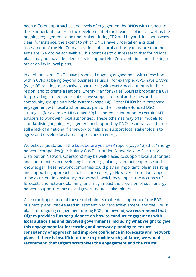been different approaches and levels of engagement by DNOs with respect to these important bodies in the development of the business plans, as well as the ongoing engagement to be undertaken during ED2 and beyond. It is not always clear, for instance, the extent to which DNOs have undertaken a critical assessment of the Net Zero aspirations of a local authority to assure that the aims are likely to be achievable. This point ties to our research that found local plans may not have detailed costs to support Net Zero ambitions and the degree of variability in local plans.

In addition, some DNOs have proposed ongoing engagement with these bodies within CVPs as being beyond business as usual (for example, WPD have 2 CVPs (page 66) relating to proactively partnering with every local authority in their region, and to create a National Energy Plan for Wales; SSEN is proposing a CVP for providing embedded collaborative support to local authorities and community groups on whole systems (page 14)). Other DNOs have proposed engagement with local authorities as part of their baseline-funded DSO strategies (for example, NPG (page 69) has noted its intention to recruit LAEP advisers to work with local authorities). These schemes may offer models for standardising ongoing engagement and support by DNOs especially as there is still a lack of a national framework to help and support local stakeholders to agree and develop local area approaches to energy.

We believe (as stated in the [Look before you LAEP](https://www.citizensadvice.org.uk/Global/CitizensAdvice/Energy/Local%20Energy%20Report.pdf) report (page 12)) that "Energy network companies (particularly Gas Distribution Networks and Electricity Distribution Network Operators) may be well-placed to support local authorities and communities in developing local energy plans given their expertise and knowledge. These network companies could play an important role in assisting and supporting approaches to local area energy." However, there does appear to be a current inconsistency in approach which may impact the accuracy of forecasts and network planning, and may impact the provision of such energy network support to these local governmental stakeholders.

Given the importance of these stakeholders to the development of the ED2 business plans, load-related investment, Net Zero achievement, and the DNOs' plans for ongoing engagement during ED2 and beyond, **we recommend that Ofgem provides further guidance on how to conduct engagement with local authorities and devolved governments, including what weight to give this engagement for forecasting and network planning to ensure consistency of approach and improve confidence in forecasts and network plans. If there is insufficient time to provide such guidance, we would recommend that Ofgem scrutinises the engagement and the critical**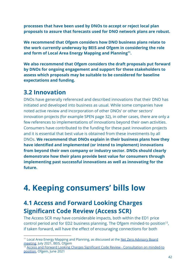**processes that have been used by DNOs to accept or reject local plan proposals to assure that forecasts used for DNO network plans are robust.**

**We recommend that Ofgem considers how DNO business plans relate to the work currently underway by BEIS and Ofgem in considering the role** and form of Local Area Energy Mapping and Planning<sup>11</sup>.

**We also recommend that Ofgem considers the draft proposals put forward by DNOs for ongoing engagement and support for these stakeholders to assess which proposals may be suitable to be considered for baseline expectations and funding.**

## <span id="page-41-0"></span>**3.2 Innovation**

DNOs have generally referenced and described innovations that their DNO has initiated and developed into business as usual. While some companies have noted active review and incorporation of other DNOs' or other sectors' innovation projects (for example SPEN page 32), in other cases, there are only a few references to implementations of innovations beyond their own activities. Consumers have contributed to the funding for these past innovation projects and it is essential that best value is obtained from these investments by all DNOs. **We recommend that DNOs explain in their business plans how they have identified and implemented (or intend to implement) innovations from beyond their own company or industry sector. DNOs should clearly demonstrate how their plans provide best value for consumers through implementing past successful innovations as well as innovating for the future.**

# <span id="page-41-1"></span>**4. Keeping consumers' bills low**

# <span id="page-41-2"></span>**4.1 Access and Forward Looking Charges Significant Code Review (Access SCR)**

The Access SCR may have considerable impacts, both within the ED1 price control period and for ED2 business planning. The Ofgem minded-to position<sup>12</sup>, if taken forward, will have the effect of encouraging connections for both

<sup>12</sup> Access and Forward Looking Charges Significant Code Review - [Consultation](https://www.ofgem.gov.uk/publications/access-and-forward-looking-charges-significant-code-review-consultation-minded-positions) on minded-to [position,](https://www.ofgem.gov.uk/publications/access-and-forward-looking-charges-significant-code-review-consultation-minded-positions) Ofgem, June 2021

<sup>&</sup>lt;sup>11</sup> Local Area Energy Mapping and Planning, as discussed at the Net Zero [Advisory](https://www.ofgem.gov.uk/publications/net-zero-advisory-group-minutes-july-2021) Board [meeting](https://www.ofgem.gov.uk/publications/net-zero-advisory-group-minutes-july-2021), July 2021, BEIS, Ofgem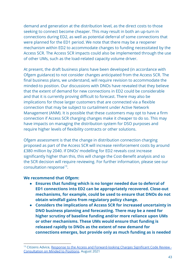demand and generation at the distribution level, as the direct costs to those seeking to connect become cheaper. This may result in both an up-turn in connections during ED2, as well as potential deferral of some connections that were planned for the ED1 period. We note that there may be a reopener mechanism within ED2 to accommodate changes to funding necessitated by the Access SCR. The Access SCR impacts could also be implemented through the use of other UMs, such as the load-related capacity volume driver.

At present, the draft business plans have been developed (in accordance with Ofgem guidance) to not consider changes anticipated from the Access SCR. The final business plans, we understand, will require revision to accommodate the minded-to position. Our discussions with DNOs have revealed that they believe that the extent of demand for new connections in ED2 could be considerable and that it is currently proving difficult to forecast. There may also be implications for those larger customers that are connected via a flexible connection that may be subject to curtailment under Active Network Management (ANM). It is possible that these customers may opt to have a firm connection if Access SCR charging changes make it cheaper to do so. This may have impacts on managing the distribution system for DSO purposes and require higher levels of flexibility contracts or other solutions.

Ofgem assessment is that the change in distribution connection charging proposed as part of the Access SCR will increase reinforcement costs by around £380 million by 2040. If DNOs' modelling for ED2 reveals cost increase significantly higher than this, this will change the Cost-Benefit analysis and so the SCR decision will require reviewing. For further information, please see our consultation response $^{13}$ .

#### **We recommend that Ofgem:**

- **● Ensures that funding which is no longer needed due to deferral of ED1 connections into ED2 can be appropriately recovered. Close-out mechanisms, for example, could be used to ensure that DNOs do not obtain windfall gains from regulatory policy change.**
- **● Considers the implications of Access SCR for increased uncertainty in DNO business planning and forecasting. There may be a need for higher scrutiny of baseline funding and/or more reliance upon UMs or other mechanisms. These UMs would ensure that funding is released rapidly to DNOs as the extent of new demand for connections emerges, but provide only as much funding as is needed**

<sup>13</sup> Citizens Advice, Response to the Access and [Forward-looking](https://www.citizensadvice.org.uk/about-us/our-work/policy/policy-research-topics/energy-policy-research-and-consultation-responses/energy-consultation-responses/citizens-advice-response-to-the-access-and-forward-looking-charges-significant-code-review-consultation-on-minded-to-positions/) Charges Significant Code Review -[Consultation](https://www.citizensadvice.org.uk/about-us/our-work/policy/policy-research-topics/energy-policy-research-and-consultation-responses/energy-consultation-responses/citizens-advice-response-to-the-access-and-forward-looking-charges-significant-code-review-consultation-on-minded-to-positions/) on Minded to Positions, August 2021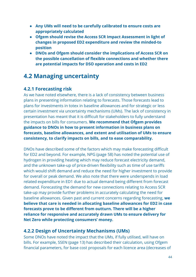- **● Any UMs will need to be carefully calibrated to ensure costs are appropriately calculated**
- **● Ofgem should revise the Access SCR Impact Assessment in light of changes in proposed ED2 expenditure and review the minded-to position**
- **● DNOs and Ofgem should consider the implications of Access SCR on the possible cancellation of flexible connections and whether there are potential impacts for DSO operation and costs in ED2**

## <span id="page-43-0"></span>**4.2 Managing uncertainty**

## <span id="page-43-1"></span>**4.2.1 Forecasting risk**

As we have noted elsewhere, there is a lack of consistency between business plans in presenting information relating to forecasts. Those forecasts lead to plans for investments in totex in baseline allowances and for strategic or less certain investment via uncertainty mechanisms (UMs). The lack of consistency in presentation has meant that it is difficult for stakeholders to fully understand the impacts on bills for consumers. **We recommend that Ofgem provides guidance to DNOs in how to present information in business plans on forecasts, baseline allowances, and extent and utilisation of UMs to ensure consistency, to clarify impacts on bills, and to ease comparability.**

DNOs have described some of the factors which may make forecasting difficult for ED2 and beyond. For example, NPG (page 58) has noted the potential use of hydrogen in providing heating which may reduce forecast electricity demand, and the unknown take-up of price-driven flexibility such as time of use tariffs which would shift demand and reduce the need for higher investment to provide for overall or peak demand. We also note that there were underspends in load related expenditure in ED1 due to actual demand being different from forecast demand. Forecasting the demand for new connections relating to Access SCR take-up may provide further problems in accurately calculating the need for baseline allowances. Given past and current concerns regarding forecasting, **we believe that care is needed in allocating baseline allowances for ED2 in case forecasts prove to be different from outturn. There will be a higher reliance for responsive and accurately drawn UMs to ensure delivery for Net Zero while protecting consumers' money.**

## <span id="page-43-2"></span>**4.2.2 Design of Uncertainty Mechanisms (UMs)**

Some DNOs have noted the impact that the UMs, if fully utilised, will have on bills. For example, SSEN (page 13) has described their calculation, using Ofgem financial parameters, for base cost proposals for each licence area (decreases of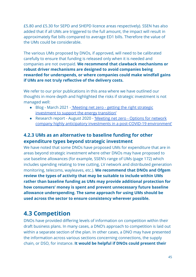£5.80 and £5.30 for SEPD and SHEPD licence areas respectively). SSEN has also added that if all UMs are triggered to the full amount, the impact will result in approximately flat bills compared to average ED1 bills. Therefore the value of the UMs could be considerable.

The various UMs proposed by DNOs, if approved, will need to be calibrated carefully to ensure that funding is released only when it is needed and companies are not overpaid. **We recommend that clawback mechanisms or robust driver mechanisms are designed to avoid companies being rewarded for underspends, or where companies could make windfall gains if UMs are not truly reflective of the delivery costs.**

We refer to our prior publications in this area where we have outlined our thoughts in more depth and highlighted the risks if strategic investment is not managed well:

- Blog March 2021 ['Meeting net zero getting the](https://wearecitizensadvice.org.uk/meeting-net-zero-getting-the-right-strategic-investment-to-support-the-energy-transition-3c3e26137cca) right strategic [investment to support the energy transition'](https://wearecitizensadvice.org.uk/meeting-net-zero-getting-the-right-strategic-investment-to-support-the-energy-transition-3c3e26137cca)
- Research report August 2020 'Meeting net zero  [Options for network](https://www.citizensadvice.org.uk/about-us/our-work/policy/policy-research-topics/energy-policy-research-and-consultation-responses/energy-policy-research/meeting-net-zero-options-for-network-company-highly-anticipatory-investments-in-a-post-covid-19-environment/) [company highly anticipatory investments in a post-COVID-19](https://www.citizensadvice.org.uk/about-us/our-work/policy/policy-research-topics/energy-policy-research-and-consultation-responses/energy-policy-research/meeting-net-zero-options-for-network-company-highly-anticipatory-investments-in-a-post-covid-19-environment/) environment'

## <span id="page-44-0"></span>**4.2.3 UMs as an alternative to baseline funding for other expenditure types beyond strategic investment**

We have noted that some DNOs have proposed UMs for expenditure that are in areas beyond strategic investment where other DNOs may have proposed to use baseline allowances (for example, SSEN's range of UMs (page 172) which includes spending relating to tree cutting, LV network and distributed generation monitoring, telecoms, wayleaves, etc.). **We recommend that DNOs and Ofgem review the types of activity that may be suitable to include within UMs rather than baseline funding as UMs may provide additional protection for how consumers' money is spent and prevent unnecessary future baseline allowance underspending. The same approach for using UMs should be used across the sector to ensure consistency wherever possible.**

# <span id="page-44-1"></span>**4.3 Competition**

DNOs have provided differing levels of information on competition within their draft business plans. In many cases, a DNO's approach to competition is laid out within a separate section of the plan. In other cases, a DNO may have presented the information across various sections concerning connections, the supply chain, or DSO, for instance. **It would be helpful if DNOs could present their**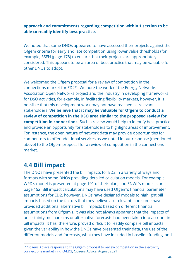**approach and commitments regarding competition within 1 section to be able to readily identify best practice.**

We noted that some DNOs appeared to have assessed their projects against the Ofgem criteria for early and late competition using lower value thresholds (for example, SSEN (page 178) to ensure that their projects are appropriately considered. This appears to be an area of best practice that may be valuable for other DNOs to adopt.

We welcomed the Ofgem proposal for a review of competition in the connections market for  $ED2^{14}$ . We note the work of the Energy Networks Association Open Networks project and the industry in developing frameworks for DSO activities, for example, in facilitating flexibility markets, however, it is possible that this development work may not have reached all relevant stakeholders. **We believe that it may be valuable for Ofgem to conduct a review of competition in the DSO area similar to the proposed review for competition in connections.** Such a review would help to identify best practice and provide an opportunity for stakeholders to highlight areas of improvement. For instance, the open nature of network data may provide opportunities for competitors to offer additional services as we noted in our response (mentioned above) to the Ofgem proposal for a review of competition in the connections market.

## <span id="page-45-0"></span>**4.4 Bill impact**

The DNOs have presented the bill impacts for ED2 in a variety of ways and formats with some DNOs providing detailed calculation models. For example, WPD's model is presented at page 191 of their plan, and ENWL's model is on page 152. Bill impact calculations may have used Ofgem's financial parameter assumptions for ED2, however, DNOs have designed models to highlight bill impacts based on the factors that they believe are relevant, and some have provided additional alternative bill impacts based on different financial assumptions from Ofgem's. It was also not always apparent that the impacts of uncertainty mechanisms or alternative forecasts had been taken into account in bill impacts. It has, therefore, proved difficult to readily compare bill impacts given the variability in how the DNOs have presented their data, the use of the different models and forecasts, what they have included in baseline funding, and

<sup>&</sup>lt;sup>14</sup> Citizens Advice response to the Ofgem proposal to review [competition](https://www.citizensadvice.org.uk/about-us/our-work/policy/policy-research-topics/energy-policy-research-and-consultation-responses/energy-consultation-responses/citizens-advice-response-to-the-ofgem-proposal-to-review-competition-in-the-electricity-connections-market-for-riio-ed2/) in the electricity [connections](https://www.citizensadvice.org.uk/about-us/our-work/policy/policy-research-topics/energy-policy-research-and-consultation-responses/energy-consultation-responses/citizens-advice-response-to-the-ofgem-proposal-to-review-competition-in-the-electricity-connections-market-for-riio-ed2/) market in RIIO-ED2, Citizens Advice, August 2021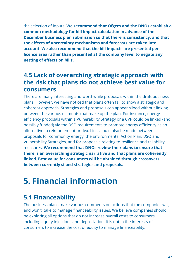the selection of inputs. **We recommend that Ofgem and the DNOs establish a common methodology for bill impact calculation in advance of the December business plan submission so that there is consistency, and that the effects of uncertainty mechanisms and forecasts are taken into account. We also recommend that the bill impacts are presented per licence area rather than presented at the company level to negate any netting of effects on bills.**

## **4.5 Lack of overarching strategic approach with the risk that plans do not achieve best value for consumers**

<span id="page-46-0"></span>There are many interesting and worthwhile proposals within the draft business plans. However, we have noticed that plans often fail to show a strategic and coherent approach. Strategies and proposals can appear siloed without linking between the various elements that make up the plan. For instance, energy efficiency proposals within a Vulnerability Strategy or a CVP could be linked (and possibly funded) via the DSO requirements to promote energy efficiency as an alternative to reinforcement or flex. Links could also be made between proposals for community energy, the Environmental Action Plan, DSO and Vulnerability Strategies, and for proposals relating to resilience and reliability measures. **We recommend that DNOs review their plans to ensure that there is an overarching strategic narrative and that plans are coherently linked. Best value for consumers will be obtained through crossovers between currently siloed strategies and proposals.**

# <span id="page-46-1"></span>**5. Financial information**

# <span id="page-46-2"></span>**5.1 Financeability**

The business plans make various comments on actions that the companies will, and won't, take to manage financeability issues. We believe companies should be exploring all options that do not increase overall costs to consumers, including equity injections and depreciation. It is not in the interests of consumers to increase the cost of equity to manage financeability.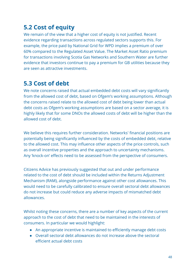# <span id="page-47-0"></span>**5.2 Cost of equity**

We remain of the view that a higher cost of equity is not justified. Recent evidence regarding transactions across regulated sectors supports this. For example, the price paid by National Grid for WPD implies a premium of over 60% compared to the Regulated Asset Value. The Market Asset Ratio premium for transactions involving Scotia Gas Networks and Southern Water are further evidence that investors continue to pay a premium for GB utilities because they are seen as attractive investments.

# <span id="page-47-1"></span>**5.3 Cost of debt**

We note concerns raised that actual embedded debt costs will vary significantly from the allowed cost of debt, based on Ofgem's working assumptions. Although the concerns raised relate to the allowed cost of debt being lower than actual debt costs as Ofgem's working assumptions are based on a sector average, it is highly likely that for some DNOs the allowed costs of debt will be higher than the allowed cost of debt.

We believe this requires further consideration. Networks' financial positions are potentially being significantly influenced by the costs of embedded debt, relative to the allowed cost. This may influence other aspects of the price controls, such as overall incentive properties and the approach to uncertainty mechanisms. Any 'knock-on' effects need to be assessed from the perspective of consumers.

Citizens Advice has previously suggested that out and under performance related to the cost of debt should be included within the Returns Adjustment Mechanism (RAM), alongside performance against other cost allowances. This would need to be carefully calibrated to ensure overall sectoral debt allowances do not increase but could reduce any adverse impacts of mismatched debt allowances.

Whilst noting these concerns, there are a number of key aspects of the current approach to the cost of debt that need to be maintained in the interests of consumers. In particular we would highlight:

- An appropriate incentive is maintained to efficiently manage debt costs
- Overall sectoral debt allowances do not increase above the sectoral efficient actual debt costs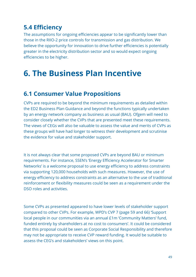# <span id="page-48-0"></span>**5.4 Efficiency**

The assumptions for ongoing efficiencies appear to be significantly lower than those in the RIIO-2 price controls for transmission and gas distribution. We believe the opportunity for innovation to drive further efficiencies is potentially greater in the electricity distribution sector and so would expect ongoing efficiencies to be higher.

# <span id="page-48-1"></span>**6. The Business Plan Incentive**

## <span id="page-48-2"></span>**6.1 Consumer Value Propositions**

CVPs are required to be beyond the minimum requirements as detailed within the ED2 Business Plan Guidance and beyond the functions typically undertaken by an energy network company as business as usual (BAU). Ofgem will need to consider closely whether the CVPs that are presented meet these requirements. The views of CEGs will also be valuable to assess the value and merits of CVPs as these groups will have had longer to witness their development and scrutinise the evidence for value and stakeholder support.

It is not always clear that some proposed CVPs are beyond BAU or minimum requirements. For instance, SSEN's 'Energy Efficiency Accelerator for Smarter Networks' is a welcome proposal to use energy efficiency to address constraints via supporting 120,000 households with such measures. However, the use of energy efficiency to address constraints as an alternative to the use of traditional reinforcement or flexibility measures could be seen as a requirement under the DSO roles and activities.

Some CVPs as presented appeared to have lower levels of stakeholder support compared to other CVPs. For example, WPD's CVP 7 (page 59 and 66) 'Support local people in our communities via an annual £1m 'Community Matters' fund, funded entirely by shareholders at no cost to consumers'. It could be considered that this proposal could be seen as Corporate Social Responsibility and therefore may not be appropriate to receive CVP reward funding. It would be suitable to assess the CEG's and stakeholders' views on this point.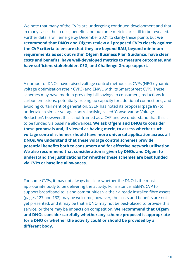We note that many of the CVPs are undergoing continued development and that in many cases their costs, benefits and outcome metrics are still to be revealed. Further details will emerge by December 2021 to clarify these points but **we recommend that DNOs and Ofgem review all proposed CVPs closely against the CVP criteria to ensure that they are beyond BAU, beyond minimum requirements as set out within Ofgem Business Plan Guidance, have clear costs and benefits, have well-developed metrics to measure outcomes, and have sufficient stakeholder, CEG, and Challenge Group support.**

A number of DNOs have raised voltage control methods as CVPs (NPG dynamic voltage optimisation (their CVP3) and ENWL with its Smart Street CVP). These schemes may have merit in providing bill savings to consumers, reductions in carbon emissions, potentially freeing up capacity for additional connections, and avoiding curtailment of generation. SSEN has noted its proposal (page 89) to undertake a similar voltage control activity called 'Conservation Voltage Reduction', however, this is not framed as a CVP and we understand that this is to be funded via baseline allowances. **We ask Ofgem and DNOs to consider these proposals and, if viewed as having merit, to assess whether such voltage control schemes should have more universal application across all DNOs. We understand that these voltage control schemes provide potential benefits both to consumers and for effective network utilisation. We also recommend that consideration is given by DNOs and Ofgem to understand the justifications for whether these schemes are best funded via CVPs or baseline allowances.**

For some CVPs, it may not always be clear whether the DNO is the most appropriate body to be delivering the activity. For instance, SSEN's CVP to support broadband to island communities via their already installed fibre assets (pages 127 and 132) may be welcome, however, the costs and benefits are not yet presented, and it may be that a DNO may not be best-placed to provide this service, or there may be impacts on competition. **We recommend that Ofgem and DNOs consider carefully whether any scheme proposed is appropriate for a DNO or whether the activity could or should be provided by a different body.**